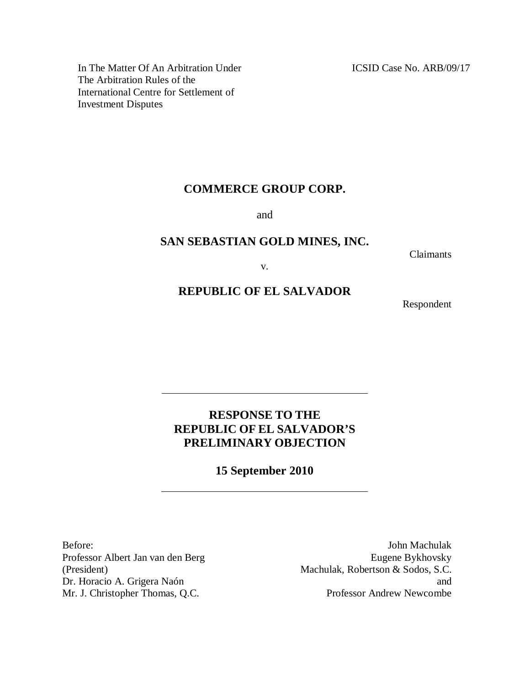ICSID Case No. ARB/09/17

In The Matter Of An Arbitration Under The Arbitration Rules of the International Centre for Settlement of Investment Disputes

# **COMMERCE GROUP CORP.**

and

# **SAN SEBASTIAN GOLD MINES, INC.**

Claimants

v.

# **REPUBLIC OF EL SALVADOR**

Respondent

# **RESPONSE TO THE REPUBLIC OF EL SALVADOR'S PRELIMINARY OBJECTION**

**15 September 2010**

Before: Professor Albert Jan van den Berg (President) Dr. Horacio A. Grigera Naón Mr. J. Christopher Thomas, Q.C.

John Machulak Eugene Bykhovsky Machulak, Robertson & Sodos, S.C. and Professor Andrew Newcombe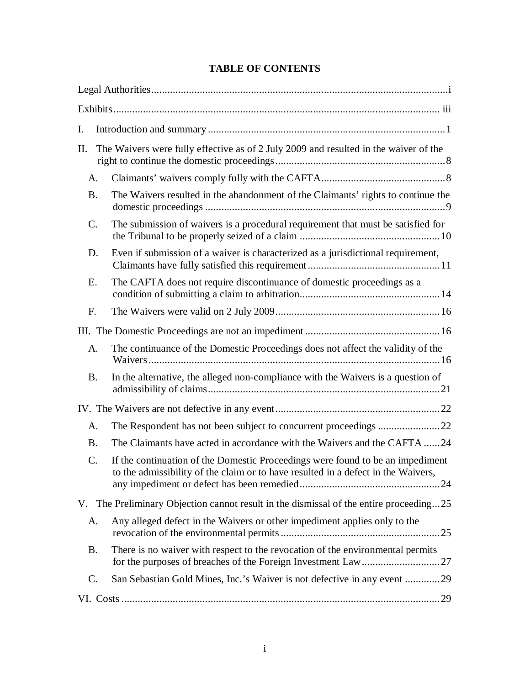# **TABLE OF CONTENTS**

| Ι.        |                                                                                                                                                                     |
|-----------|---------------------------------------------------------------------------------------------------------------------------------------------------------------------|
| П.        | The Waivers were fully effective as of 2 July 2009 and resulted in the waiver of the                                                                                |
| A.        |                                                                                                                                                                     |
| <b>B.</b> | The Waivers resulted in the abandonment of the Claimants' rights to continue the                                                                                    |
| C.        | The submission of waivers is a procedural requirement that must be satisfied for                                                                                    |
| D.        | Even if submission of a waiver is characterized as a jurisdictional requirement,                                                                                    |
| Ε.        | The CAFTA does not require discontinuance of domestic proceedings as a                                                                                              |
| F.        |                                                                                                                                                                     |
|           |                                                                                                                                                                     |
| A.        | The continuance of the Domestic Proceedings does not affect the validity of the                                                                                     |
| <b>B.</b> | In the alternative, the alleged non-compliance with the Waivers is a question of                                                                                    |
|           |                                                                                                                                                                     |
| A.        |                                                                                                                                                                     |
| <b>B.</b> | The Claimants have acted in accordance with the Waivers and the CAFTA 24                                                                                            |
| C.        | If the continuation of the Domestic Proceedings were found to be an impediment<br>to the admissibility of the claim or to have resulted in a defect in the Waivers, |
|           | V. The Preliminary Objection cannot result in the dismissal of the entire proceeding25                                                                              |
| A.        | Any alleged defect in the Waivers or other impediment applies only to the                                                                                           |
| <b>B.</b> | There is no waiver with respect to the revocation of the environmental permits                                                                                      |
| C.        | San Sebastian Gold Mines, Inc.'s Waiver is not defective in any event 29                                                                                            |
|           |                                                                                                                                                                     |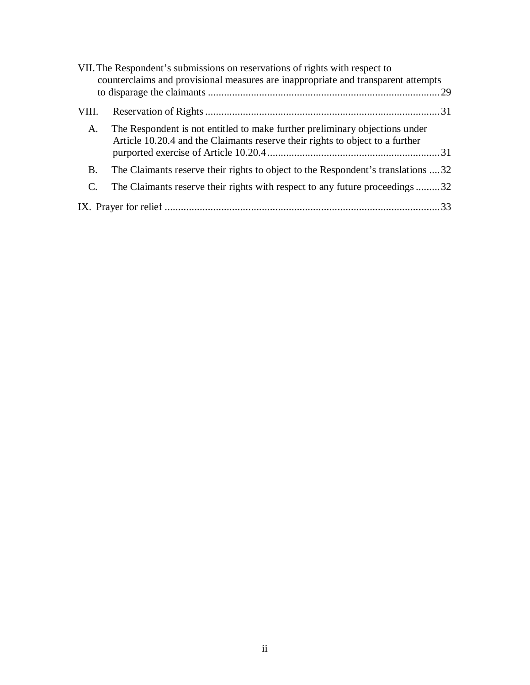| VII. The Respondent's submissions on reservations of rights with respect to<br>counterclaims and provisional measures are inappropriate and transparent attempts |                                                                                                                                                              |  |
|------------------------------------------------------------------------------------------------------------------------------------------------------------------|--------------------------------------------------------------------------------------------------------------------------------------------------------------|--|
|                                                                                                                                                                  |                                                                                                                                                              |  |
| VIII.                                                                                                                                                            |                                                                                                                                                              |  |
| A.                                                                                                                                                               | The Respondent is not entitled to make further preliminary objections under<br>Article 10.20.4 and the Claimants reserve their rights to object to a further |  |
| B.                                                                                                                                                               | The Claimants reserve their rights to object to the Respondent's translations 32                                                                             |  |
|                                                                                                                                                                  | The Claimants reserve their rights with respect to any future proceedings32                                                                                  |  |
|                                                                                                                                                                  |                                                                                                                                                              |  |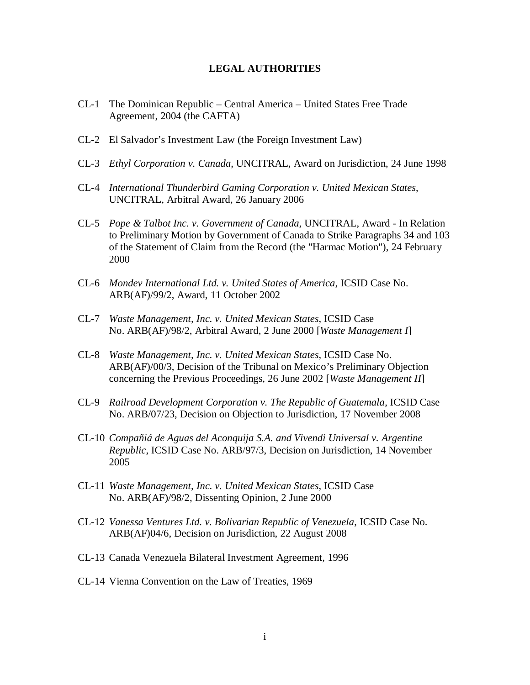#### **LEGAL AUTHORITIES**

- CL-1 The Dominican Republic Central America United States Free Trade Agreement, 2004 (the CAFTA)
- CL-2 El Salvador's Investment Law (the Foreign Investment Law)
- CL-3 *Ethyl Corporation v. Canada*, UNCITRAL, Award on Jurisdiction, 24 June 1998
- CL-4 *International Thunderbird Gaming Corporation v. United Mexican States*, UNCITRAL, Arbitral Award, 26 January 2006
- CL-5 *Pope & Talbot Inc. v. Government of Canada*, UNCITRAL, Award In Relation to Preliminary Motion by Government of Canada to Strike Paragraphs 34 and 103 of the Statement of Claim from the Record (the "Harmac Motion"), 24 February 2000
- CL-6 *Mondev International Ltd. v. United States of America*, ICSID Case No. ARB(AF)/99/2, Award, 11 October 2002
- CL-7 *Waste Management, Inc. v. United Mexican States*, ICSID Case No. ARB(AF)/98/2, Arbitral Award, 2 June 2000 [*Waste Management I*]
- CL-8 *Waste Management, Inc. v. United Mexican States*, ICSID Case No. ARB(AF)/00/3, Decision of the Tribunal on Mexico's Preliminary Objection concerning the Previous Proceedings, 26 June 2002 [*Waste Management II*]
- CL-9 *Railroad Development Corporation v. The Republic of Guatemala*, ICSID Case No. ARB/07/23, Decision on Objection to Jurisdiction, 17 November 2008
- CL-10 *Compañiá de Aguas del Aconquija S.A. and Vivendi Universal v. Argentine Republic*, ICSID Case No. ARB/97/3, Decision on Jurisdiction, 14 November 2005
- CL-11 *Waste Management, Inc. v. United Mexican States*, ICSID Case No. ARB(AF)/98/2, Dissenting Opinion, 2 June 2000
- CL-12 *Vanessa Ventures Ltd. v. Bolivarian Republic of Venezuela*, ICSID Case No. ARB(AF)04/6, Decision on Jurisdiction, 22 August 2008
- CL-13 Canada Venezuela Bilateral Investment Agreement, 1996
- CL-14 Vienna Convention on the Law of Treaties, 1969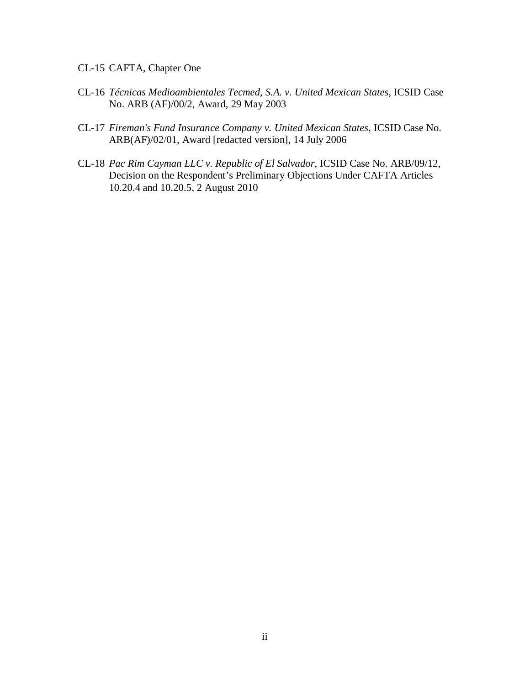- CL-15 CAFTA, Chapter One
- CL-16 *Técnicas Medioambientales Tecmed, S.A. v. United Mexican States*, ICSID Case No. ARB (AF)/00/2, Award, 29 May 2003
- CL-17 *Fireman's Fund Insurance Company v. United Mexican States*, ICSID Case No. ARB(AF)/02/01, Award [redacted version], 14 July 2006
- CL-18 *Pac Rim Cayman LLC v. Republic of El Salvador*, ICSID Case No. ARB/09/12, Decision on the Respondent's Preliminary Objections Under CAFTA Articles 10.20.4 and 10.20.5, 2 August 2010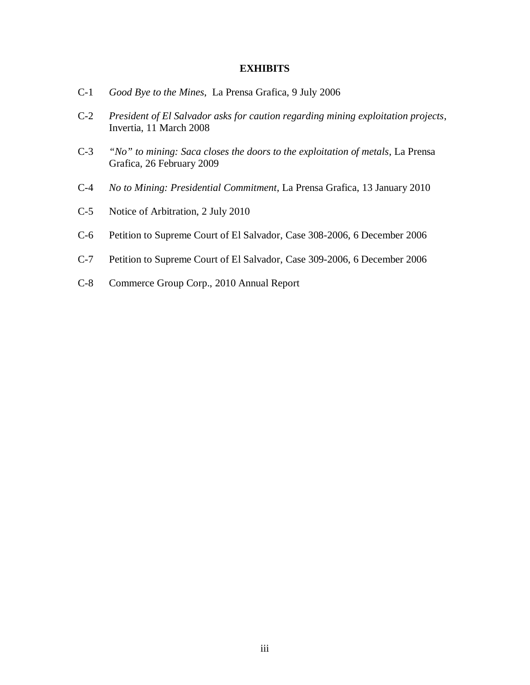#### **EXHIBITS**

- C-1 *Good Bye to the Mines*, La Prensa Grafica, 9 July 2006
- C-2 *President of El Salvador asks for caution regarding mining exploitation projects*, Invertia, 11 March 2008
- C-3 *"No" to mining: Saca closes the doors to the exploitation of metals*, La Prensa Grafica, 26 February 2009
- C-4 *No to Mining: Presidential Commitment*, La Prensa Grafica, 13 January 2010
- C-5 Notice of Arbitration, 2 July 2010
- C-6 Petition to Supreme Court of El Salvador, Case 308-2006, 6 December 2006
- C-7 Petition to Supreme Court of El Salvador, Case 309-2006, 6 December 2006
- C-8 Commerce Group Corp., 2010 Annual Report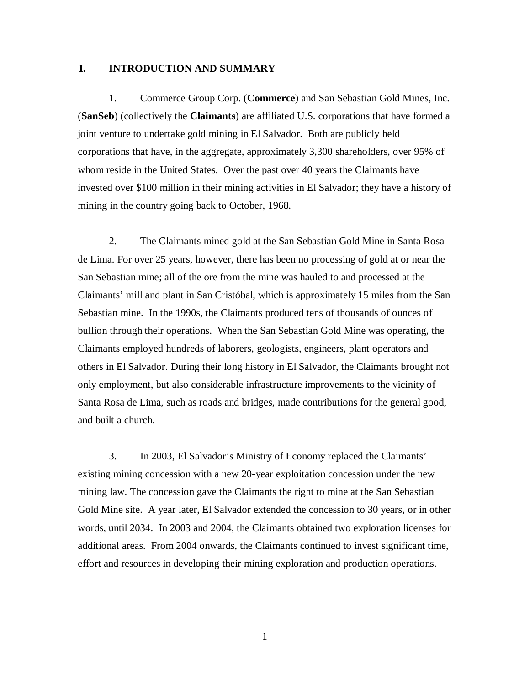### **I. INTRODUCTION AND SUMMARY**

1. Commerce Group Corp. (**Commerce**) and San Sebastian Gold Mines, Inc. (**SanSeb**) (collectively the **Claimants**) are affiliated U.S. corporations that have formed a joint venture to undertake gold mining in El Salvador. Both are publicly held corporations that have, in the aggregate, approximately 3,300 shareholders, over 95% of whom reside in the United States. Over the past over 40 years the Claimants have invested over \$100 million in their mining activities in El Salvador; they have a history of mining in the country going back to October, 1968.

2. The Claimants mined gold at the San Sebastian Gold Mine in Santa Rosa de Lima. For over 25 years, however, there has been no processing of gold at or near the San Sebastian mine; all of the ore from the mine was hauled to and processed at the Claimants' mill and plant in San Cristóbal, which is approximately 15 miles from the San Sebastian mine. In the 1990s, the Claimants produced tens of thousands of ounces of bullion through their operations. When the San Sebastian Gold Mine was operating, the Claimants employed hundreds of laborers, geologists, engineers, plant operators and others in El Salvador. During their long history in El Salvador, the Claimants brought not only employment, but also considerable infrastructure improvements to the vicinity of Santa Rosa de Lima, such as roads and bridges, made contributions for the general good, and built a church.

3. In 2003, El Salvador's Ministry of Economy replaced the Claimants' existing mining concession with a new 20-year exploitation concession under the new mining law. The concession gave the Claimants the right to mine at the San Sebastian Gold Mine site. A year later, El Salvador extended the concession to 30 years, or in other words, until 2034. In 2003 and 2004, the Claimants obtained two exploration licenses for additional areas. From 2004 onwards, the Claimants continued to invest significant time, effort and resources in developing their mining exploration and production operations.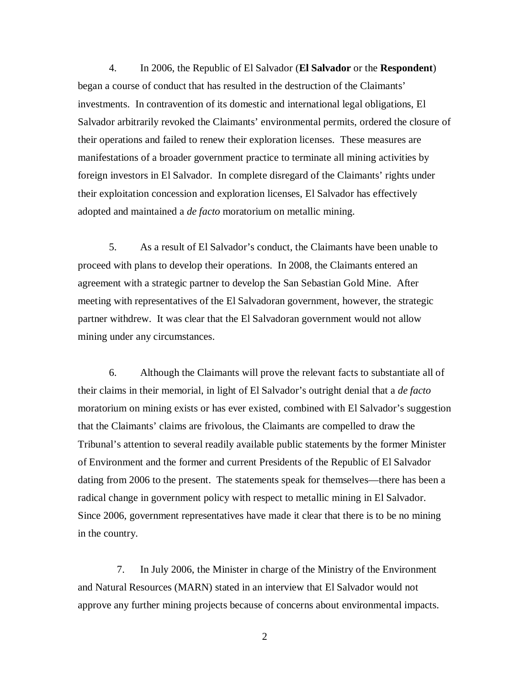4. In 2006, the Republic of El Salvador (**El Salvador** or the **Respondent**) began a course of conduct that has resulted in the destruction of the Claimants' investments. In contravention of its domestic and international legal obligations, El Salvador arbitrarily revoked the Claimants' environmental permits, ordered the closure of their operations and failed to renew their exploration licenses. These measures are manifestations of a broader government practice to terminate all mining activities by foreign investors in El Salvador. In complete disregard of the Claimants' rights under their exploitation concession and exploration licenses, El Salvador has effectively adopted and maintained a *de facto* moratorium on metallic mining.

5. As a result of El Salvador's conduct, the Claimants have been unable to proceed with plans to develop their operations. In 2008, the Claimants entered an agreement with a strategic partner to develop the San Sebastian Gold Mine. After meeting with representatives of the El Salvadoran government, however, the strategic partner withdrew. It was clear that the El Salvadoran government would not allow mining under any circumstances.

6. Although the Claimants will prove the relevant facts to substantiate all of their claims in their memorial, in light of El Salvador's outright denial that a *de facto* moratorium on mining exists or has ever existed, combined with El Salvador's suggestion that the Claimants' claims are frivolous, the Claimants are compelled to draw the Tribunal's attention to several readily available public statements by the former Minister of Environment and the former and current Presidents of the Republic of El Salvador dating from 2006 to the present. The statements speak for themselves—there has been a radical change in government policy with respect to metallic mining in El Salvador. Since 2006, government representatives have made it clear that there is to be no mining in the country.

7. In July 2006, the Minister in charge of the Ministry of the Environment and Natural Resources (MARN) stated in an interview that El Salvador would not approve any further mining projects because of concerns about environmental impacts.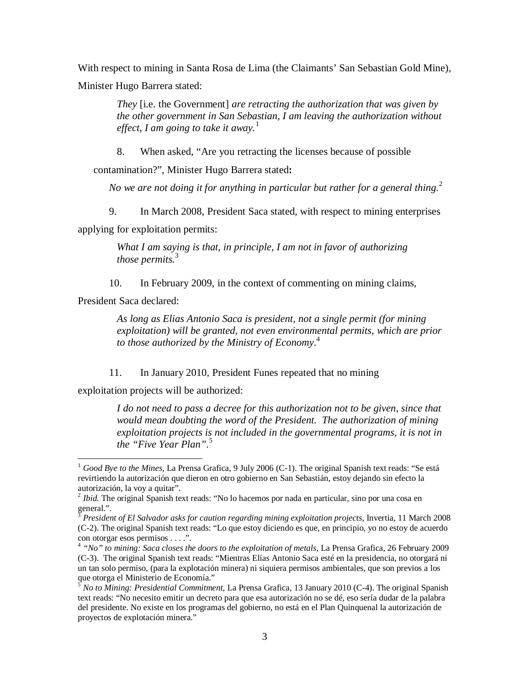With respect to mining in Santa Rosa de Lima (the Claimants' San Sebastian Gold Mine), Minister Hugo Barrera stated:

> *They* [i.e. the Government] *are retracting the authorization that was given by the other government in San Sebastian, I am leaving the authorization without effect, I am going to take it away.*<sup>1</sup>

8. When asked, "Are you retracting the licenses because of possible

contamination?", Minister Hugo Barrera stated**:**

*No we are not doing it for anything in particular but rather for a general thing.*<sup>2</sup>

9. In March 2008, President Saca stated, with respect to mining enterprises

applying for exploitation permits:

*What I am saying is that, in principle, I am not in favor of authorizing those permits.*<sup>3</sup>

10. In February 2009, in the context of commenting on mining claims,

President Saca declared:

 $\overline{a}$ 

*As long as Elias Antonio Saca is president, not a single permit (for mining exploitation) will be granted, not even environmental permits, which are prior to those authorized by the Ministry of Economy.* 4

11. In January 2010, President Funes repeated that no mining

exploitation projects will be authorized:

*I do not need to pass a decree for this authorization not to be given, since that would mean doubting the word of the President. The authorization of mining exploitation projects is not included in the governmental programs, it is not in the "Five Year Plan".*<sup>5</sup>

<sup>&</sup>lt;sup>1</sup> *Good Bye to the Mines*, La Prensa Grafica, 9 July 2006 (C-1). The original Spanish text reads: "Se está revirtiendo la autorización que dieron en otro gobierno en San Sebastián, estoy dejando sin efecto la autorización, la voy a quitar".

<sup>&</sup>lt;sup>2</sup> Ibid. The original Spanish text reads: "No lo hacemos por nada en particular, sino por una cosa en general.".

<sup>3</sup> *President of El Salvador asks for caution regarding mining exploitation projects*, Invertia, 11 March 2008 (C-2). The original Spanish text reads: "Lo que estoy diciendo es que, en principio, yo no estoy de acuerdo con otorgar esos permisos . . . .".

<sup>4</sup> *"No" to mining: Saca closes the doors to the exploitation of metals*, La Prensa Grafica, 26 February 2009 (C-3). The original Spanish text reads: "Mientras Elías Antonio Saca esté en la presidencia, no otorgará ni un tan solo permiso, (para la explotación minera) ni siquiera permisos ambientales, que son previos a los que otorga el Ministerio de Economía."

<sup>5</sup> *No to Mining: Presidential Commitment*, La Prensa Grafica, 13 January 2010 (C-4). The original Spanish text reads: "No necesito emitir un decreto para que esa autorización no se dé, eso sería dudar de la palabra del presidente. No existe en los programas del gobierno, no está en el Plan Quinquenal la autorización de proyectos de explotación minera."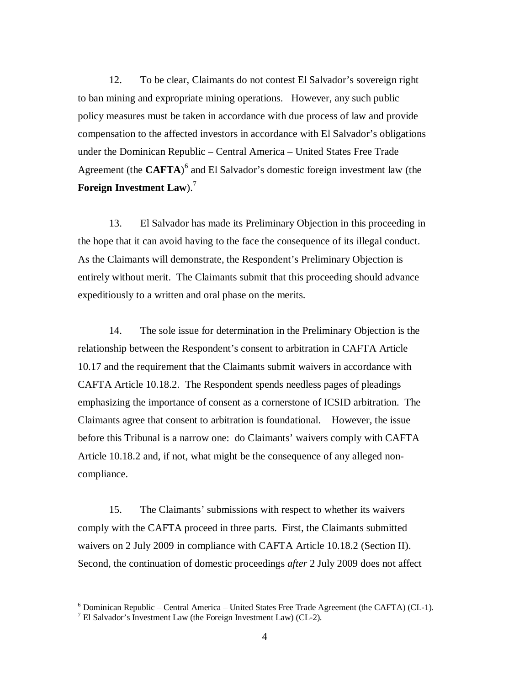12. To be clear, Claimants do not contest El Salvador's sovereign right to ban mining and expropriate mining operations. However, any such public policy measures must be taken in accordance with due process of law and provide compensation to the affected investors in accordance with El Salvador's obligations under the Dominican Republic – Central America – United States Free Trade Agreement (the **CAFTA**) 6 and El Salvador's domestic foreign investment law (the **Foreign Investment Law**). 7

13. El Salvador has made its Preliminary Objection in this proceeding in the hope that it can avoid having to the face the consequence of its illegal conduct. As the Claimants will demonstrate, the Respondent's Preliminary Objection is entirely without merit. The Claimants submit that this proceeding should advance expeditiously to a written and oral phase on the merits.

14. The sole issue for determination in the Preliminary Objection is the relationship between the Respondent's consent to arbitration in CAFTA Article 10.17 and the requirement that the Claimants submit waivers in accordance with CAFTA Article 10.18.2. The Respondent spends needless pages of pleadings emphasizing the importance of consent as a cornerstone of ICSID arbitration. The Claimants agree that consent to arbitration is foundational. However, the issue before this Tribunal is a narrow one: do Claimants' waivers comply with CAFTA Article 10.18.2 and, if not, what might be the consequence of any alleged noncompliance.

15. The Claimants' submissions with respect to whether its waivers comply with the CAFTA proceed in three parts. First, the Claimants submitted waivers on 2 July 2009 in compliance with CAFTA Article 10.18.2 (Section II). Second, the continuation of domestic proceedings *after* 2 July 2009 does not affect

 $6$  Dominican Republic – Central America – United States Free Trade Agreement (the CAFTA) (CL-1).

 $^7$  El Salvador's Investment Law (the Foreign Investment Law) (CL-2).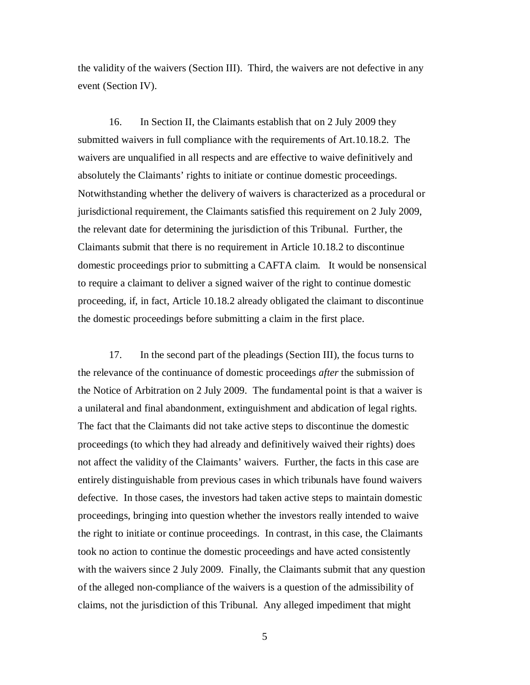the validity of the waivers (Section III). Third, the waivers are not defective in any event (Section IV).

16. In Section II, the Claimants establish that on 2 July 2009 they submitted waivers in full compliance with the requirements of Art.10.18.2. The waivers are unqualified in all respects and are effective to waive definitively and absolutely the Claimants' rights to initiate or continue domestic proceedings. Notwithstanding whether the delivery of waivers is characterized as a procedural or jurisdictional requirement, the Claimants satisfied this requirement on 2 July 2009, the relevant date for determining the jurisdiction of this Tribunal. Further, the Claimants submit that there is no requirement in Article 10.18.2 to discontinue domestic proceedings prior to submitting a CAFTA claim. It would be nonsensical to require a claimant to deliver a signed waiver of the right to continue domestic proceeding, if, in fact, Article 10.18.2 already obligated the claimant to discontinue the domestic proceedings before submitting a claim in the first place.

17. In the second part of the pleadings (Section III), the focus turns to the relevance of the continuance of domestic proceedings *after* the submission of the Notice of Arbitration on 2 July 2009. The fundamental point is that a waiver is a unilateral and final abandonment, extinguishment and abdication of legal rights. The fact that the Claimants did not take active steps to discontinue the domestic proceedings (to which they had already and definitively waived their rights) does not affect the validity of the Claimants' waivers. Further, the facts in this case are entirely distinguishable from previous cases in which tribunals have found waivers defective. In those cases, the investors had taken active steps to maintain domestic proceedings, bringing into question whether the investors really intended to waive the right to initiate or continue proceedings. In contrast, in this case, the Claimants took no action to continue the domestic proceedings and have acted consistently with the waivers since 2 July 2009. Finally, the Claimants submit that any question of the alleged non-compliance of the waivers is a question of the admissibility of claims, not the jurisdiction of this Tribunal. Any alleged impediment that might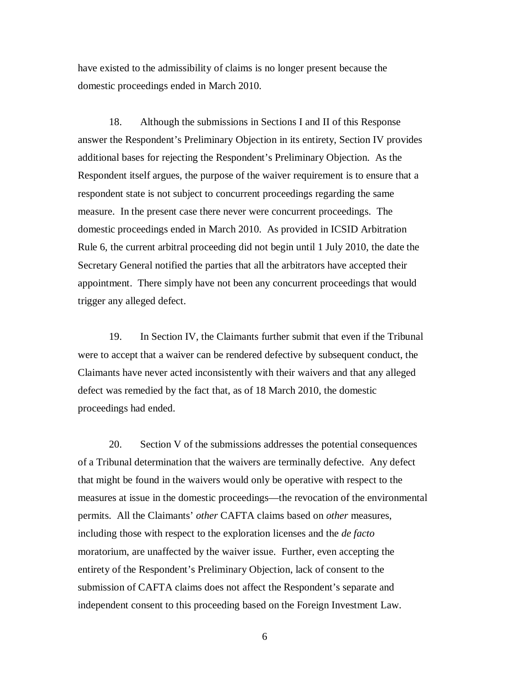have existed to the admissibility of claims is no longer present because the domestic proceedings ended in March 2010.

18. Although the submissions in Sections I and II of this Response answer the Respondent's Preliminary Objection in its entirety, Section IV provides additional bases for rejecting the Respondent's Preliminary Objection. As the Respondent itself argues, the purpose of the waiver requirement is to ensure that a respondent state is not subject to concurrent proceedings regarding the same measure. In the present case there never were concurrent proceedings. The domestic proceedings ended in March 2010. As provided in ICSID Arbitration Rule 6, the current arbitral proceeding did not begin until 1 July 2010, the date the Secretary General notified the parties that all the arbitrators have accepted their appointment. There simply have not been any concurrent proceedings that would trigger any alleged defect.

19. In Section IV, the Claimants further submit that even if the Tribunal were to accept that a waiver can be rendered defective by subsequent conduct, the Claimants have never acted inconsistently with their waivers and that any alleged defect was remedied by the fact that, as of 18 March 2010, the domestic proceedings had ended.

20. Section V of the submissions addresses the potential consequences of a Tribunal determination that the waivers are terminally defective. Any defect that might be found in the waivers would only be operative with respect to the measures at issue in the domestic proceedings—the revocation of the environmental permits. All the Claimants' *other* CAFTA claims based on *other* measures, including those with respect to the exploration licenses and the *de facto* moratorium, are unaffected by the waiver issue. Further, even accepting the entirety of the Respondent's Preliminary Objection, lack of consent to the submission of CAFTA claims does not affect the Respondent's separate and independent consent to this proceeding based on the Foreign Investment Law.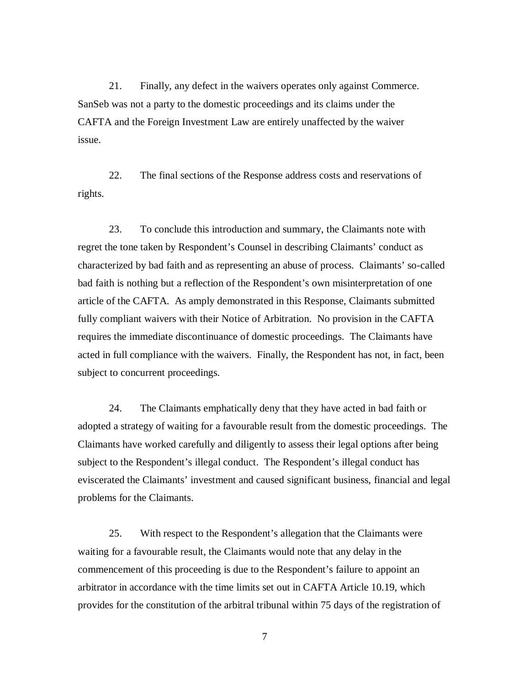21. Finally, any defect in the waivers operates only against Commerce. SanSeb was not a party to the domestic proceedings and its claims under the CAFTA and the Foreign Investment Law are entirely unaffected by the waiver issue.

22. The final sections of the Response address costs and reservations of rights.

23. To conclude this introduction and summary, the Claimants note with regret the tone taken by Respondent's Counsel in describing Claimants' conduct as characterized by bad faith and as representing an abuse of process. Claimants' so-called bad faith is nothing but a reflection of the Respondent's own misinterpretation of one article of the CAFTA. As amply demonstrated in this Response, Claimants submitted fully compliant waivers with their Notice of Arbitration. No provision in the CAFTA requires the immediate discontinuance of domestic proceedings. The Claimants have acted in full compliance with the waivers. Finally, the Respondent has not, in fact, been subject to concurrent proceedings.

24. The Claimants emphatically deny that they have acted in bad faith or adopted a strategy of waiting for a favourable result from the domestic proceedings. The Claimants have worked carefully and diligently to assess their legal options after being subject to the Respondent's illegal conduct. The Respondent's illegal conduct has eviscerated the Claimants' investment and caused significant business, financial and legal problems for the Claimants.

25. With respect to the Respondent's allegation that the Claimants were waiting for a favourable result, the Claimants would note that any delay in the commencement of this proceeding is due to the Respondent's failure to appoint an arbitrator in accordance with the time limits set out in CAFTA Article 10.19, which provides for the constitution of the arbitral tribunal within 75 days of the registration of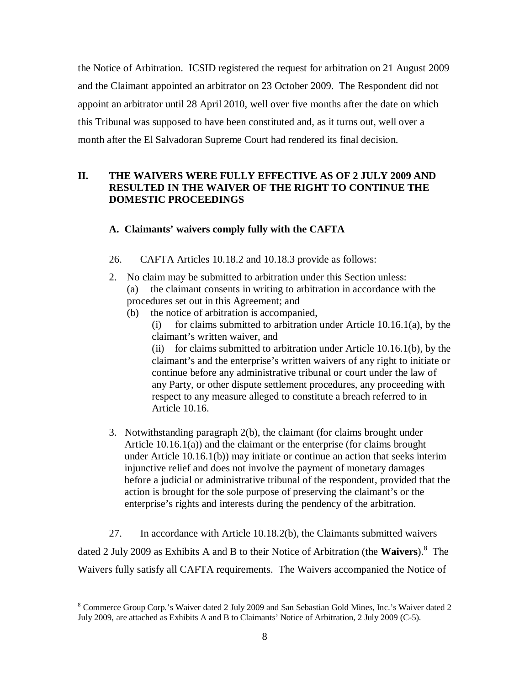the Notice of Arbitration. ICSID registered the request for arbitration on 21 August 2009 and the Claimant appointed an arbitrator on 23 October 2009. The Respondent did not appoint an arbitrator until 28 April 2010, well over five months after the date on which this Tribunal was supposed to have been constituted and, as it turns out, well over a month after the El Salvadoran Supreme Court had rendered its final decision.

# **II. THE WAIVERS WERE FULLY EFFECTIVE AS OF 2 JULY 2009 AND RESULTED IN THE WAIVER OF THE RIGHT TO CONTINUE THE DOMESTIC PROCEEDINGS**

### **A. Claimants' waivers comply fully with the CAFTA**

- 26. CAFTA Articles 10.18.2 and 10.18.3 provide as follows:
- 2. No claim may be submitted to arbitration under this Section unless: (a) the claimant consents in writing to arbitration in accordance with the procedures set out in this Agreement; and
	- (b) the notice of arbitration is accompanied,
		- (i) for claims submitted to arbitration under Article 10.16.1(a), by the claimant's written waiver, and

(ii) for claims submitted to arbitration under Article 10.16.1(b), by the claimant's and the enterprise's written waivers of any right to initiate or continue before any administrative tribunal or court under the law of any Party, or other dispute settlement procedures, any proceeding with respect to any measure alleged to constitute a breach referred to in Article 10.16.

3. Notwithstanding paragraph 2(b), the claimant (for claims brought under Article 10.16.1(a)) and the claimant or the enterprise (for claims brought under Article 10.16.1(b)) may initiate or continue an action that seeks interim injunctive relief and does not involve the payment of monetary damages before a judicial or administrative tribunal of the respondent, provided that the action is brought for the sole purpose of preserving the claimant's or the enterprise's rights and interests during the pendency of the arbitration.

27. In accordance with Article 10.18.2(b), the Claimants submitted waivers dated 2 July 2009 as Exhibits A and B to their Notice of Arbitration (the **Waivers**).<sup>8</sup> The Waivers fully satisfy all CAFTA requirements. The Waivers accompanied the Notice of

 $\overline{a}$ <sup>8</sup> Commerce Group Corp.'s Waiver dated 2 July 2009 and San Sebastian Gold Mines, Inc.'s Waiver dated 2 July 2009, are attached as Exhibits A and B to Claimants' Notice of Arbitration, 2 July 2009 (C-5).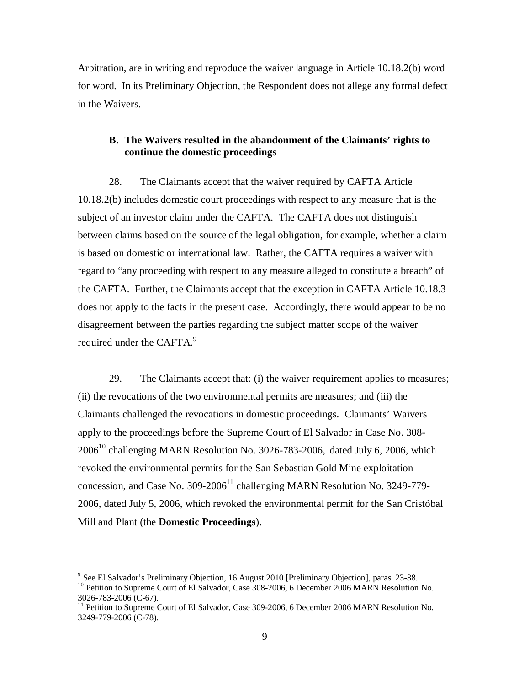Arbitration, are in writing and reproduce the waiver language in Article 10.18.2(b) word for word. In its Preliminary Objection, the Respondent does not allege any formal defect in the Waivers.

### **B. The Waivers resulted in the abandonment of the Claimants' rights to continue the domestic proceedings**

28. The Claimants accept that the waiver required by CAFTA Article 10.18.2(b) includes domestic court proceedings with respect to any measure that is the subject of an investor claim under the CAFTA. The CAFTA does not distinguish between claims based on the source of the legal obligation, for example, whether a claim is based on domestic or international law. Rather, the CAFTA requires a waiver with regard to "any proceeding with respect to any measure alleged to constitute a breach" of the CAFTA. Further, the Claimants accept that the exception in CAFTA Article 10.18.3 does not apply to the facts in the present case. Accordingly, there would appear to be no disagreement between the parties regarding the subject matter scope of the waiver required under the CAFTA.<sup>9</sup>

29. The Claimants accept that: (i) the waiver requirement applies to measures; (ii) the revocations of the two environmental permits are measures; and (iii) the Claimants challenged the revocations in domestic proceedings. Claimants' Waivers apply to the proceedings before the Supreme Court of El Salvador in Case No. 308-  $2006^{10}$  challenging MARN Resolution No. 3026-783-2006, dated July 6, 2006, which revoked the environmental permits for the San Sebastian Gold Mine exploitation concession, and Case No.  $309-2006<sup>11</sup>$  challenging MARN Resolution No. 3249-779-2006, dated July 5, 2006, which revoked the environmental permit for the San Cristóbal Mill and Plant (the **Domestic Proceedings**).

 9 See El Salvador's Preliminary Objection, 16 August 2010 [Preliminary Objection], paras. 23-38.

<sup>&</sup>lt;sup>10</sup> Petition to Supreme Court of El Salvador, Case 308-2006, 6 December 2006 MARN Resolution No. 3026-783-2006 (C-67).

<sup>&</sup>lt;sup>11</sup> Petition to Supreme Court of El Salvador, Case 309-2006, 6 December 2006 MARN Resolution No. 3249-779-2006 (C-78).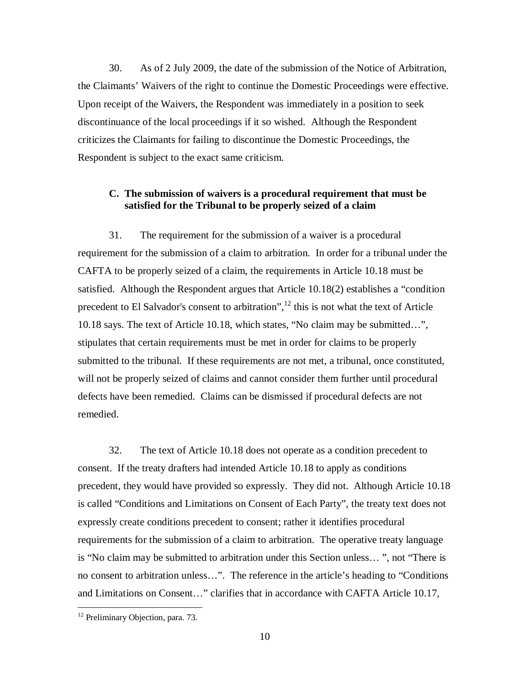30. As of 2 July 2009, the date of the submission of the Notice of Arbitration, the Claimants' Waivers of the right to continue the Domestic Proceedings were effective. Upon receipt of the Waivers, the Respondent was immediately in a position to seek discontinuance of the local proceedings if it so wished. Although the Respondent criticizes the Claimants for failing to discontinue the Domestic Proceedings, the Respondent is subject to the exact same criticism.

### **C. The submission of waivers is a procedural requirement that must be satisfied for the Tribunal to be properly seized of a claim**

31. The requirement for the submission of a waiver is a procedural requirement for the submission of a claim to arbitration. In order for a tribunal under the CAFTA to be properly seized of a claim, the requirements in Article 10.18 must be satisfied. Although the Respondent argues that Article 10.18(2) establishes a "condition precedent to El Salvador's consent to arbitration",<sup>12</sup> this is not what the text of Article 10.18 says. The text of Article 10.18, which states, "No claim may be submitted…", stipulates that certain requirements must be met in order for claims to be properly submitted to the tribunal. If these requirements are not met, a tribunal, once constituted, will not be properly seized of claims and cannot consider them further until procedural defects have been remedied. Claims can be dismissed if procedural defects are not remedied.

32. The text of Article 10.18 does not operate as a condition precedent to consent. If the treaty drafters had intended Article 10.18 to apply as conditions precedent, they would have provided so expressly. They did not. Although Article 10.18 is called "Conditions and Limitations on Consent of Each Party", the treaty text does not expressly create conditions precedent to consent; rather it identifies procedural requirements for the submission of a claim to arbitration. The operative treaty language is "No claim may be submitted to arbitration under this Section unless… ", not "There is no consent to arbitration unless…". The reference in the article's heading to "Conditions and Limitations on Consent…" clarifies that in accordance with CAFTA Article 10.17,

<sup>&</sup>lt;sup>12</sup> Preliminary Objection, para. 73.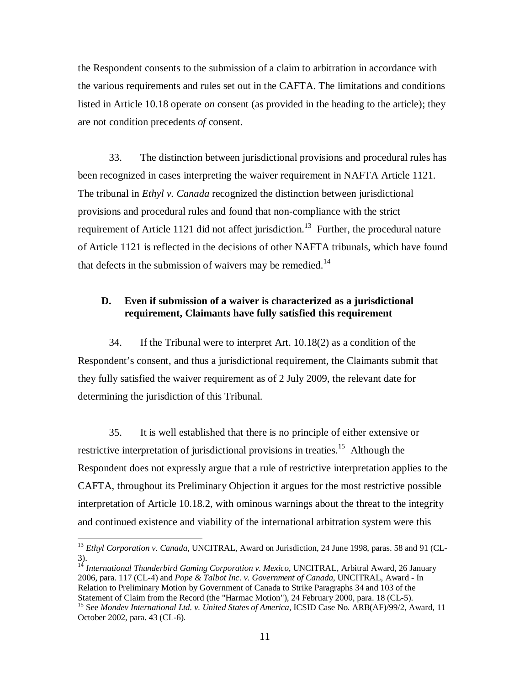the Respondent consents to the submission of a claim to arbitration in accordance with the various requirements and rules set out in the CAFTA. The limitations and conditions listed in Article 10.18 operate *on* consent (as provided in the heading to the article); they are not condition precedents *of* consent.

33. The distinction between jurisdictional provisions and procedural rules has been recognized in cases interpreting the waiver requirement in NAFTA Article 1121. The tribunal in *Ethyl v. Canada* recognized the distinction between jurisdictional provisions and procedural rules and found that non-compliance with the strict requirement of Article 1121 did not affect jurisdiction.<sup>13</sup> Further, the procedural nature of Article 1121 is reflected in the decisions of other NAFTA tribunals, which have found that defects in the submission of waivers may be remedied.<sup>14</sup>

### **D. Even if submission of a waiver is characterized as a jurisdictional requirement, Claimants have fully satisfied this requirement**

34. If the Tribunal were to interpret Art. 10.18(2) as a condition of the Respondent's consent, and thus a jurisdictional requirement, the Claimants submit that they fully satisfied the waiver requirement as of 2 July 2009, the relevant date for determining the jurisdiction of this Tribunal.

35. It is well established that there is no principle of either extensive or restrictive interpretation of jurisdictional provisions in treaties.<sup>15</sup> Although the Respondent does not expressly argue that a rule of restrictive interpretation applies to the CAFTA, throughout its Preliminary Objection it argues for the most restrictive possible interpretation of Article 10.18.2, with ominous warnings about the threat to the integrity and continued existence and viability of the international arbitration system were this

<sup>&</sup>lt;sup>13</sup> *Ethyl Corporation v. Canada*, UNCITRAL, Award on Jurisdiction, 24 June 1998, paras. 58 and 91 (CL-3).

<sup>&</sup>lt;sup>14</sup> International Thunderbird Gaming Corporation v. Mexico, UNCITRAL, Arbitral Award, 26 January 2006, para. 117 (CL-4) and *Pope & Talbot Inc. v. Government of Canada*, UNCITRAL, Award - In Relation to Preliminary Motion by Government of Canada to Strike Paragraphs 34 and 103 of the Statement of Claim from the Record (the "Harmac Motion"), 24 February 2000, para. 18 (CL-5).

<sup>&</sup>lt;sup>15</sup> See *Mondev International Ltd. v. United States of America*, ICSID Case No. ARB(AF)/99/2, Award, 11 October 2002, para. 43 (CL-6).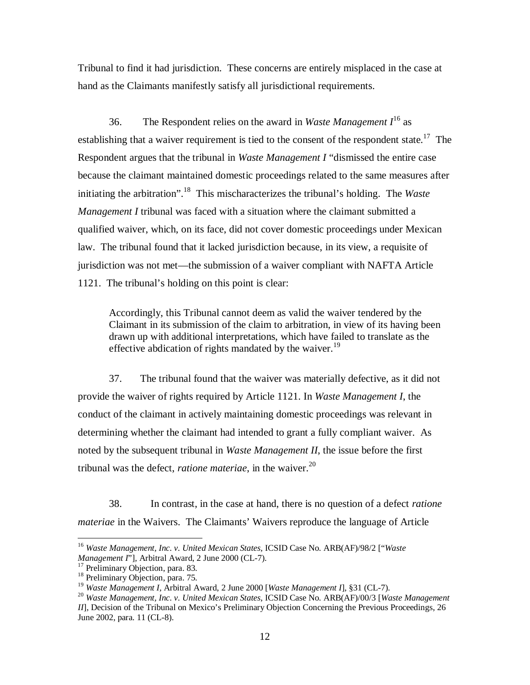Tribunal to find it had jurisdiction. These concerns are entirely misplaced in the case at hand as the Claimants manifestly satisfy all jurisdictional requirements.

36. The Respondent relies on the award in *Waste Management I*<sup>16</sup> as establishing that a waiver requirement is tied to the consent of the respondent state.<sup>17</sup> The Respondent argues that the tribunal in *Waste Management I* "dismissed the entire case because the claimant maintained domestic proceedings related to the same measures after initiating the arbitration".<sup>18</sup> This mischaracterizes the tribunal's holding. The *Waste Management I* tribunal was faced with a situation where the claimant submitted a qualified waiver, which, on its face, did not cover domestic proceedings under Mexican law. The tribunal found that it lacked jurisdiction because, in its view, a requisite of jurisdiction was not met—the submission of a waiver compliant with NAFTA Article 1121. The tribunal's holding on this point is clear:

Accordingly, this Tribunal cannot deem as valid the waiver tendered by the Claimant in its submission of the claim to arbitration, in view of its having been drawn up with additional interpretations, which have failed to translate as the effective abdication of rights mandated by the waiver.<sup>19</sup>

37. The tribunal found that the waiver was materially defective, as it did not provide the waiver of rights required by Article 1121. In *Waste Management I*, the conduct of the claimant in actively maintaining domestic proceedings was relevant in determining whether the claimant had intended to grant a fully compliant waiver. As noted by the subsequent tribunal in *Waste Management II*, the issue before the first tribunal was the defect, *ratione materiae*, in the waiver.<sup>20</sup>

38. In contrast, in the case at hand, there is no question of a defect *ratione materiae* in the Waivers. The Claimants' Waivers reproduce the language of Article

<sup>16</sup> *Waste Management, Inc. v. United Mexican States,* ICSID Case No. ARB(AF)/98/2 ["*Waste Management I*"]*,* Arbitral Award, 2 June 2000 (CL-7).

<sup>&</sup>lt;sup>17</sup> Preliminary Objection, para. 83.

<sup>&</sup>lt;sup>18</sup> Preliminary Objection, para. 75.

<sup>19</sup> *Waste Management I,* Arbitral Award, 2 June 2000 [*Waste Management I*], §31 (CL-7).

<sup>20</sup> *Waste Management, Inc. v. United Mexican States*, ICSID Case No. ARB(AF)/00/3 [*Waste Management II*], Decision of the Tribunal on Mexico's Preliminary Objection Concerning the Previous Proceedings, 26 June 2002, para. 11 (CL-8).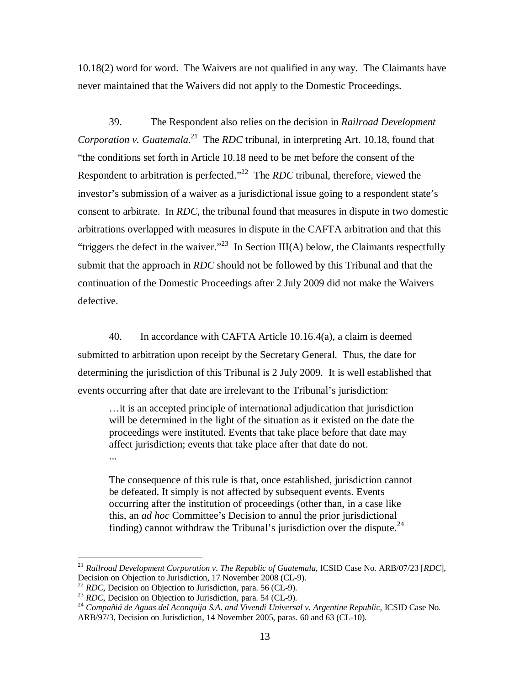10.18(2) word for word. The Waivers are not qualified in any way. The Claimants have never maintained that the Waivers did not apply to the Domestic Proceedings.

39. The Respondent also relies on the decision in *Railroad Development*  Corporation v. Guatemala.<sup>21</sup> The *RDC* tribunal, in interpreting Art. 10.18, found that "the conditions set forth in Article 10.18 need to be met before the consent of the Respondent to arbitration is perfected."<sup>22</sup> The *RDC* tribunal, therefore, viewed the investor's submission of a waiver as a jurisdictional issue going to a respondent state's consent to arbitrate. In *RDC*, the tribunal found that measures in dispute in two domestic arbitrations overlapped with measures in dispute in the CAFTA arbitration and that this "triggers the defect in the waiver."<sup>23</sup> In Section III(A) below, the Claimants respectfully submit that the approach in *RDC* should not be followed by this Tribunal and that the continuation of the Domestic Proceedings after 2 July 2009 did not make the Waivers defective.

40. In accordance with CAFTA Article 10.16.4(a), a claim is deemed submitted to arbitration upon receipt by the Secretary General. Thus, the date for determining the jurisdiction of this Tribunal is 2 July 2009. It is well established that events occurring after that date are irrelevant to the Tribunal's jurisdiction:

…it is an accepted principle of international adjudication that jurisdiction will be determined in the light of the situation as it existed on the date the proceedings were instituted. Events that take place before that date may affect jurisdiction; events that take place after that date do not. ...

The consequence of this rule is that, once established, jurisdiction cannot be defeated. It simply is not affected by subsequent events. Events occurring after the institution of proceedings (other than, in a case like this, an *ad hoc* Committee's Decision to annul the prior jurisdictional finding) cannot withdraw the Tribunal's jurisdiction over the dispute.<sup>24</sup>

<sup>21</sup> *Railroad Development Corporation v. The Republic of Guatemala*, ICSID Case No. ARB/07/23 [*RDC*], Decision on Objection to Jurisdiction, 17 November 2008 (CL-9).

<sup>22</sup> *RDC*, Decision on Objection to Jurisdiction, para. 56 (CL-9).

<sup>&</sup>lt;sup>23</sup> *RDC*, Decision on Objection to Jurisdiction, para. 54 (CL-9).

<sup>&</sup>lt;sup>24</sup> Compañiá de Aguas del Aconquija S.A. and Vivendi Universal v. Argentine Republic, ICSID Case No. ARB/97/3, Decision on Jurisdiction, 14 November 2005, paras. 60 and 63 (CL-10).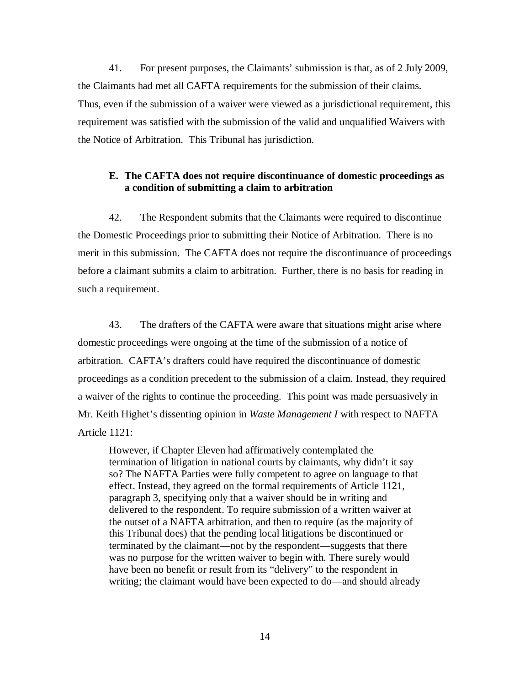41. For present purposes, the Claimants' submission is that, as of 2 July 2009, the Claimants had met all CAFTA requirements for the submission of their claims. Thus, even if the submission of a waiver were viewed as a jurisdictional requirement, this requirement was satisfied with the submission of the valid and unqualified Waivers with the Notice of Arbitration. This Tribunal has jurisdiction.

### **E. The CAFTA does not require discontinuance of domestic proceedings as a condition of submitting a claim to arbitration**

42. The Respondent submits that the Claimants were required to discontinue the Domestic Proceedings prior to submitting their Notice of Arbitration. There is no merit in this submission. The CAFTA does not require the discontinuance of proceedings before a claimant submits a claim to arbitration. Further, there is no basis for reading in such a requirement.

43. The drafters of the CAFTA were aware that situations might arise where domestic proceedings were ongoing at the time of the submission of a notice of arbitration. CAFTA's drafters could have required the discontinuance of domestic proceedings as a condition precedent to the submission of a claim. Instead, they required a waiver of the rights to continue the proceeding. This point was made persuasively in Mr. Keith Highet's dissenting opinion in *Waste Management I* with respect to NAFTA Article 1121:

However, if Chapter Eleven had affirmatively contemplated the termination of litigation in national courts by claimants, why didn't it say so? The NAFTA Parties were fully competent to agree on language to that effect. Instead, they agreed on the formal requirements of Article 1121, paragraph 3, specifying only that a waiver should be in writing and delivered to the respondent. To require submission of a written waiver at the outset of a NAFTA arbitration, and then to require (as the majority of this Tribunal does) that the pending local litigations be discontinued or terminated by the claimant—not by the respondent—suggests that there was no purpose for the written waiver to begin with. There surely would have been no benefit or result from its "delivery" to the respondent in writing; the claimant would have been expected to do—and should already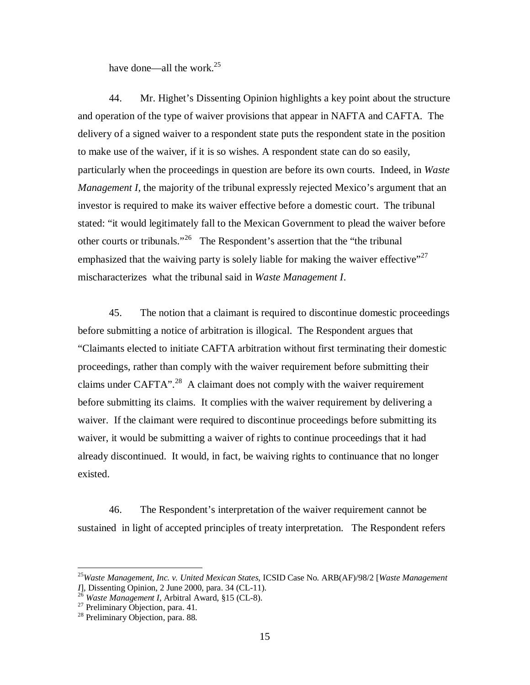have done—all the work. $^{25}$ 

44. Mr. Highet's Dissenting Opinion highlights a key point about the structure and operation of the type of waiver provisions that appear in NAFTA and CAFTA. The delivery of a signed waiver to a respondent state puts the respondent state in the position to make use of the waiver, if it is so wishes. A respondent state can do so easily, particularly when the proceedings in question are before its own courts. Indeed, in *Waste Management I*, the majority of the tribunal expressly rejected Mexico's argument that an investor is required to make its waiver effective before a domestic court. The tribunal stated: "it would legitimately fall to the Mexican Government to plead the waiver before other courts or tribunals."<sup>26</sup> The Respondent's assertion that the "the tribunal" emphasized that the waiving party is solely liable for making the waiver effective $^{27}$ mischaracterizes what the tribunal said in *Waste Management I*.

45. The notion that a claimant is required to discontinue domestic proceedings before submitting a notice of arbitration is illogical. The Respondent argues that "Claimants elected to initiate CAFTA arbitration without first terminating their domestic proceedings, rather than comply with the waiver requirement before submitting their claims under CAFTA". $^{28}$  A claimant does not comply with the waiver requirement before submitting its claims. It complies with the waiver requirement by delivering a waiver. If the claimant were required to discontinue proceedings before submitting its waiver, it would be submitting a waiver of rights to continue proceedings that it had already discontinued. It would, in fact, be waiving rights to continuance that no longer existed.

46. The Respondent's interpretation of the waiver requirement cannot be sustained in light of accepted principles of treaty interpretation. The Respondent refers

<sup>25</sup>*Waste Management, Inc. v. United Mexican States,* ICSID Case No. ARB(AF)/98/2 [*Waste Management I*]*,* Dissenting Opinion, 2 June 2000, para. 34 (CL-11).

<sup>26</sup> *Waste Management I*, Arbitral Award, §15 (CL-8).

 $27$  Preliminary Objection, para. 41.

<sup>&</sup>lt;sup>28</sup> Preliminary Objection, para. 88.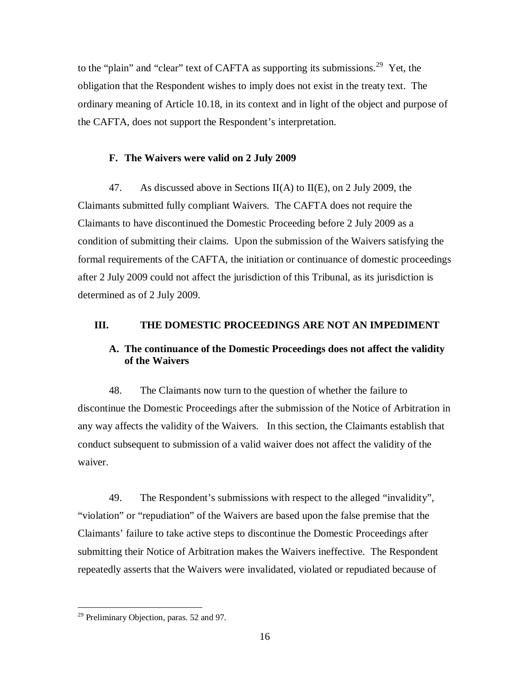to the "plain" and "clear" text of CAFTA as supporting its submissions.<sup>29</sup> Yet, the obligation that the Respondent wishes to imply does not exist in the treaty text. The ordinary meaning of Article 10.18, in its context and in light of the object and purpose of the CAFTA, does not support the Respondent's interpretation.

#### **F. The Waivers were valid on 2 July 2009**

47. As discussed above in Sections II(A) to II(E), on 2 July 2009, the Claimants submitted fully compliant Waivers. The CAFTA does not require the Claimants to have discontinued the Domestic Proceeding before 2 July 2009 as a condition of submitting their claims. Upon the submission of the Waivers satisfying the formal requirements of the CAFTA, the initiation or continuance of domestic proceedings after 2 July 2009 could not affect the jurisdiction of this Tribunal, as its jurisdiction is determined as of 2 July 2009.

#### **III. THE DOMESTIC PROCEEDINGS ARE NOT AN IMPEDIMENT**

## **A. The continuance of the Domestic Proceedings does not affect the validity of the Waivers**

48. The Claimants now turn to the question of whether the failure to discontinue the Domestic Proceedings after the submission of the Notice of Arbitration in any way affects the validity of the Waivers. In this section, the Claimants establish that conduct subsequent to submission of a valid waiver does not affect the validity of the waiver.

49. The Respondent's submissions with respect to the alleged "invalidity", "violation" or "repudiation" of the Waivers are based upon the false premise that the Claimants' failure to take active steps to discontinue the Domestic Proceedings after submitting their Notice of Arbitration makes the Waivers ineffective. The Respondent repeatedly asserts that the Waivers were invalidated, violated or repudiated because of

 $\overline{a}$ <sup>29</sup> Preliminary Objection, paras. 52 and 97.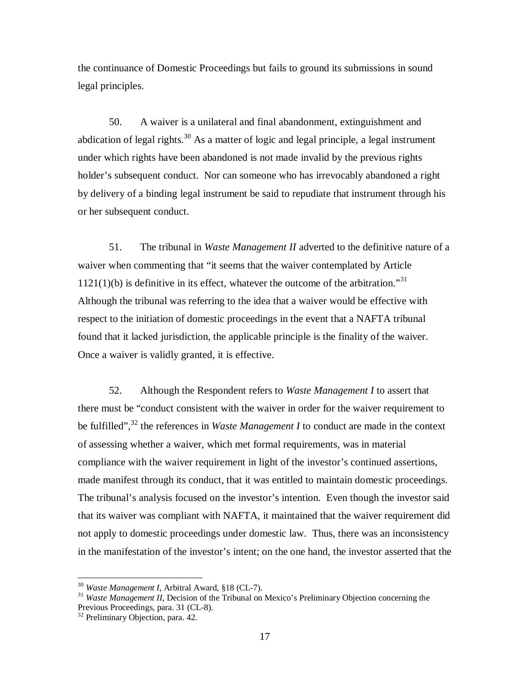the continuance of Domestic Proceedings but fails to ground its submissions in sound legal principles.

50. A waiver is a unilateral and final abandonment, extinguishment and abdication of legal rights.<sup>30</sup> As a matter of logic and legal principle, a legal instrument under which rights have been abandoned is not made invalid by the previous rights holder's subsequent conduct. Nor can someone who has irrevocably abandoned a right by delivery of a binding legal instrument be said to repudiate that instrument through his or her subsequent conduct.

51. The tribunal in *Waste Management II* adverted to the definitive nature of a waiver when commenting that "it seems that the waiver contemplated by Article  $1121(1)(b)$  is definitive in its effect, whatever the outcome of the arbitration."<sup>31</sup> Although the tribunal was referring to the idea that a waiver would be effective with respect to the initiation of domestic proceedings in the event that a NAFTA tribunal found that it lacked jurisdiction, the applicable principle is the finality of the waiver. Once a waiver is validly granted, it is effective.

52. Although the Respondent refers to *Waste Management I* to assert that there must be "conduct consistent with the waiver in order for the waiver requirement to be fulfilled",<sup>32</sup> the references in *Waste Management I* to conduct are made in the context of assessing whether a waiver, which met formal requirements, was in material compliance with the waiver requirement in light of the investor's continued assertions, made manifest through its conduct, that it was entitled to maintain domestic proceedings. The tribunal's analysis focused on the investor's intention. Even though the investor said that its waiver was compliant with NAFTA, it maintained that the waiver requirement did not apply to domestic proceedings under domestic law. Thus, there was an inconsistency in the manifestation of the investor's intent; on the one hand, the investor asserted that the

<sup>30</sup> *Waste Management I*, Arbitral Award, §18 (CL-7).

<sup>&</sup>lt;sup>31</sup> *Waste Management II*, Decision of the Tribunal on Mexico's Preliminary Objection concerning the Previous Proceedings, para. 31 (CL-8).

<sup>&</sup>lt;sup>32</sup> Preliminary Objection, para. 42.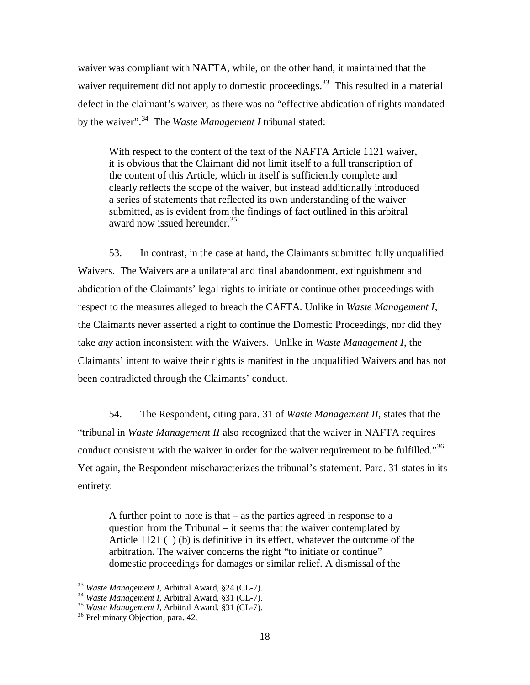waiver was compliant with NAFTA, while, on the other hand, it maintained that the waiver requirement did not apply to domestic proceedings.<sup>33</sup> This resulted in a material defect in the claimant's waiver, as there was no "effective abdication of rights mandated by the waiver".<sup>34</sup> The *Waste Management I* tribunal stated:

With respect to the content of the text of the NAFTA Article 1121 waiver, it is obvious that the Claimant did not limit itself to a full transcription of the content of this Article, which in itself is sufficiently complete and clearly reflects the scope of the waiver, but instead additionally introduced a series of statements that reflected its own understanding of the waiver submitted, as is evident from the findings of fact outlined in this arbitral award now issued hereunder.<sup>35</sup>

53. In contrast, in the case at hand, the Claimants submitted fully unqualified Waivers. The Waivers are a unilateral and final abandonment, extinguishment and abdication of the Claimants' legal rights to initiate or continue other proceedings with respect to the measures alleged to breach the CAFTA. Unlike in *Waste Management I*, the Claimants never asserted a right to continue the Domestic Proceedings, nor did they take *any* action inconsistent with the Waivers. Unlike in *Waste Management I*, the Claimants' intent to waive their rights is manifest in the unqualified Waivers and has not been contradicted through the Claimants' conduct.

54. The Respondent, citing para. 31 of *Waste Management II*, states that the "tribunal in *Waste Management II* also recognized that the waiver in NAFTA requires conduct consistent with the waiver in order for the waiver requirement to be fulfilled."<sup>36</sup> Yet again, the Respondent mischaracterizes the tribunal's statement. Para. 31 states in its entirety:

A further point to note is that – as the parties agreed in response to a question from the Tribunal – it seems that the waiver contemplated by Article 1121 (1) (b) is definitive in its effect, whatever the outcome of the arbitration. The waiver concerns the right "to initiate or continue" domestic proceedings for damages or similar relief. A dismissal of the

<sup>33</sup> *Waste Management I*, Arbitral Award, §24 (CL-7).

<sup>34</sup> *Waste Management I*, Arbitral Award, §31 (CL-7).

<sup>35</sup> *Waste Management I*, Arbitral Award, §31 (CL-7).

<sup>&</sup>lt;sup>36</sup> Preliminary Objection, para. 42.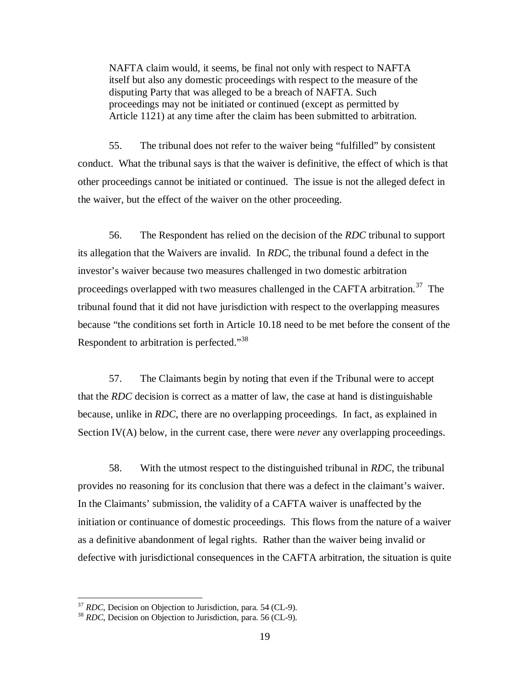NAFTA claim would, it seems, be final not only with respect to NAFTA itself but also any domestic proceedings with respect to the measure of the disputing Party that was alleged to be a breach of NAFTA. Such proceedings may not be initiated or continued (except as permitted by Article 1121) at any time after the claim has been submitted to arbitration.

55. The tribunal does not refer to the waiver being "fulfilled" by consistent conduct. What the tribunal says is that the waiver is definitive, the effect of which is that other proceedings cannot be initiated or continued. The issue is not the alleged defect in the waiver, but the effect of the waiver on the other proceeding.

56. The Respondent has relied on the decision of the *RDC* tribunal to support its allegation that the Waivers are invalid. In *RDC*, the tribunal found a defect in the investor's waiver because two measures challenged in two domestic arbitration proceedings overlapped with two measures challenged in the CAFTA arbitration.<sup>37</sup> The tribunal found that it did not have jurisdiction with respect to the overlapping measures because "the conditions set forth in Article 10.18 need to be met before the consent of the Respondent to arbitration is perfected."<sup>38</sup>

57. The Claimants begin by noting that even if the Tribunal were to accept that the *RDC* decision is correct as a matter of law, the case at hand is distinguishable because, unlike in *RDC*, there are no overlapping proceedings. In fact, as explained in Section IV(A) below, in the current case, there were *never* any overlapping proceedings.

58. With the utmost respect to the distinguished tribunal in *RDC*, the tribunal provides no reasoning for its conclusion that there was a defect in the claimant's waiver. In the Claimants' submission, the validity of a CAFTA waiver is unaffected by the initiation or continuance of domestic proceedings. This flows from the nature of a waiver as a definitive abandonment of legal rights. Rather than the waiver being invalid or defective with jurisdictional consequences in the CAFTA arbitration, the situation is quite

<sup>37</sup> *RDC*, Decision on Objection to Jurisdiction, para. 54 (CL-9).

<sup>38</sup> *RDC*, Decision on Objection to Jurisdiction, para. 56 (CL-9).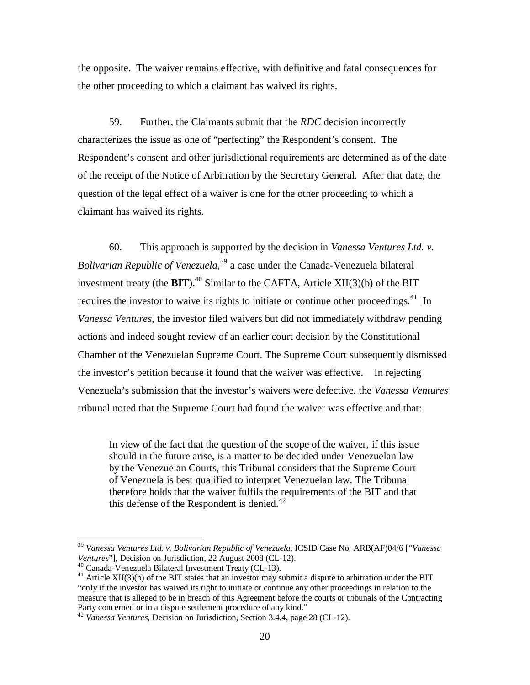the opposite. The waiver remains effective, with definitive and fatal consequences for the other proceeding to which a claimant has waived its rights.

59. Further, the Claimants submit that the *RDC* decision incorrectly characterizes the issue as one of "perfecting" the Respondent's consent. The Respondent's consent and other jurisdictional requirements are determined as of the date of the receipt of the Notice of Arbitration by the Secretary General. After that date, the question of the legal effect of a waiver is one for the other proceeding to which a claimant has waived its rights.

60. This approach is supported by the decision in *Vanessa Ventures Ltd. v. Bolivarian Republic of Venezuela,*<sup>39</sup> a case under the Canada-Venezuela bilateral investment treaty (the  $\text{BIT}$ ).<sup>40</sup> Similar to the CAFTA, Article XII(3)(b) of the BIT requires the investor to waive its rights to initiate or continue other proceedings.<sup>41</sup> In *Vanessa Ventures*, the investor filed waivers but did not immediately withdraw pending actions and indeed sought review of an earlier court decision by the Constitutional Chamber of the Venezuelan Supreme Court. The Supreme Court subsequently dismissed the investor's petition because it found that the waiver was effective. In rejecting Venezuela's submission that the investor's waivers were defective, the *Vanessa Ventures*  tribunal noted that the Supreme Court had found the waiver was effective and that:

In view of the fact that the question of the scope of the waiver, if this issue should in the future arise, is a matter to be decided under Venezuelan law by the Venezuelan Courts, this Tribunal considers that the Supreme Court of Venezuela is best qualified to interpret Venezuelan law. The Tribunal therefore holds that the waiver fulfils the requirements of the BIT and that this defense of the Respondent is denied. $42$ 

<sup>39</sup> *Vanessa Ventures Ltd. v. Bolivarian Republic of Venezuela*, ICSID Case No. ARB(AF)04/6 ["*Vanessa Ventures*"], Decision on Jurisdiction, 22 August 2008 (CL-12).

<sup>40</sup> Canada-Venezuela Bilateral Investment Treaty (CL-13).

 $41$  Article XII(3)(b) of the BIT states that an investor may submit a dispute to arbitration under the BIT "only if the investor has waived its right to initiate or continue any other proceedings in relation to the measure that is alleged to be in breach of this Agreement before the courts or tribunals of the Contracting Party concerned or in a dispute settlement procedure of any kind."

<sup>42</sup> *Vanessa Ventures*, Decision on Jurisdiction, Section 3.4.4, page 28 (CL-12).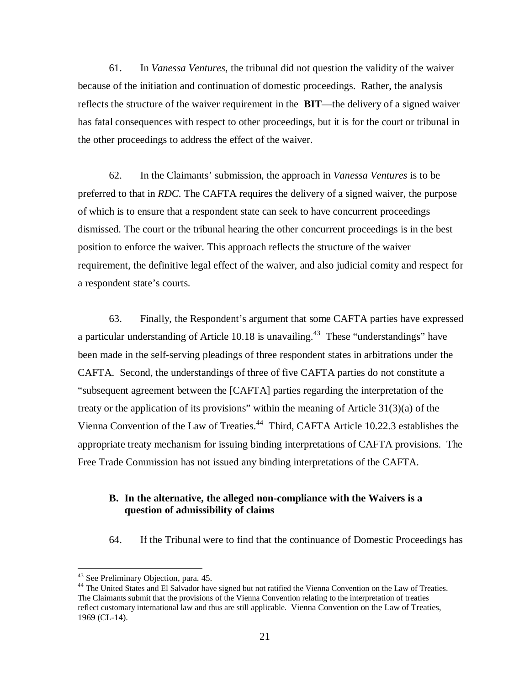61. In *Vanessa Ventures*, the tribunal did not question the validity of the waiver because of the initiation and continuation of domestic proceedings. Rather, the analysis reflects the structure of the waiver requirement in the **BIT**—the delivery of a signed waiver has fatal consequences with respect to other proceedings, but it is for the court or tribunal in the other proceedings to address the effect of the waiver.

62. In the Claimants' submission, the approach in *Vanessa Ventures* is to be preferred to that in *RDC*. The CAFTA requires the delivery of a signed waiver, the purpose of which is to ensure that a respondent state can seek to have concurrent proceedings dismissed. The court or the tribunal hearing the other concurrent proceedings is in the best position to enforce the waiver. This approach reflects the structure of the waiver requirement, the definitive legal effect of the waiver, and also judicial comity and respect for a respondent state's courts.

63. Finally, the Respondent's argument that some CAFTA parties have expressed a particular understanding of Article 10.18 is unavailing.<sup>43</sup> These "understandings" have been made in the self-serving pleadings of three respondent states in arbitrations under the CAFTA. Second, the understandings of three of five CAFTA parties do not constitute a "subsequent agreement between the [CAFTA] parties regarding the interpretation of the treaty or the application of its provisions" within the meaning of Article 31(3)(a) of the Vienna Convention of the Law of Treaties.<sup>44</sup> Third, CAFTA Article 10.22.3 establishes the appropriate treaty mechanism for issuing binding interpretations of CAFTA provisions. The Free Trade Commission has not issued any binding interpretations of the CAFTA.

### **B. In the alternative, the alleged non-compliance with the Waivers is a question of admissibility of claims**

64. If the Tribunal were to find that the continuance of Domestic Proceedings has

 $\overline{a}$ 

<sup>44</sup> The United States and El Salvador have signed but not ratified the Vienna Convention on the Law of Treaties. The Claimants submit that the provisions of the Vienna Convention relating to the interpretation of treaties reflect customary international law and thus are still applicable. Vienna Convention on the Law of Treaties, 1969 (CL-14).

<sup>&</sup>lt;sup>43</sup> See Preliminary Objection, para. 45.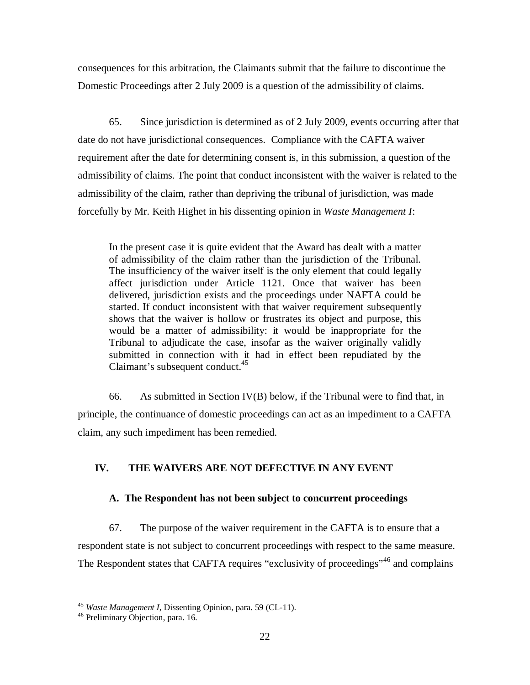consequences for this arbitration, the Claimants submit that the failure to discontinue the Domestic Proceedings after 2 July 2009 is a question of the admissibility of claims.

65. Since jurisdiction is determined as of 2 July 2009, events occurring after that date do not have jurisdictional consequences. Compliance with the CAFTA waiver requirement after the date for determining consent is, in this submission, a question of the admissibility of claims. The point that conduct inconsistent with the waiver is related to the admissibility of the claim, rather than depriving the tribunal of jurisdiction, was made forcefully by Mr. Keith Highet in his dissenting opinion in *Waste Management I*:

In the present case it is quite evident that the Award has dealt with a matter of admissibility of the claim rather than the jurisdiction of the Tribunal. The insufficiency of the waiver itself is the only element that could legally affect jurisdiction under Article 1121. Once that waiver has been delivered, jurisdiction exists and the proceedings under NAFTA could be started. If conduct inconsistent with that waiver requirement subsequently shows that the waiver is hollow or frustrates its object and purpose, this would be a matter of admissibility: it would be inappropriate for the Tribunal to adjudicate the case, insofar as the waiver originally validly submitted in connection with it had in effect been repudiated by the Claimant's subsequent conduct.<sup>45</sup>

66. As submitted in Section IV(B) below, if the Tribunal were to find that, in principle, the continuance of domestic proceedings can act as an impediment to a CAFTA claim, any such impediment has been remedied.

# **IV. THE WAIVERS ARE NOT DEFECTIVE IN ANY EVENT**

# **A. The Respondent has not been subject to concurrent proceedings**

67. The purpose of the waiver requirement in the CAFTA is to ensure that a respondent state is not subject to concurrent proceedings with respect to the same measure. The Respondent states that CAFTA requires "exclusivity of proceedings"<sup>46</sup> and complains

 $\overline{a}$ <sup>45</sup> *Waste Management I,* Dissenting Opinion, para. 59 (CL-11).

<sup>46</sup> Preliminary Objection, para. 16.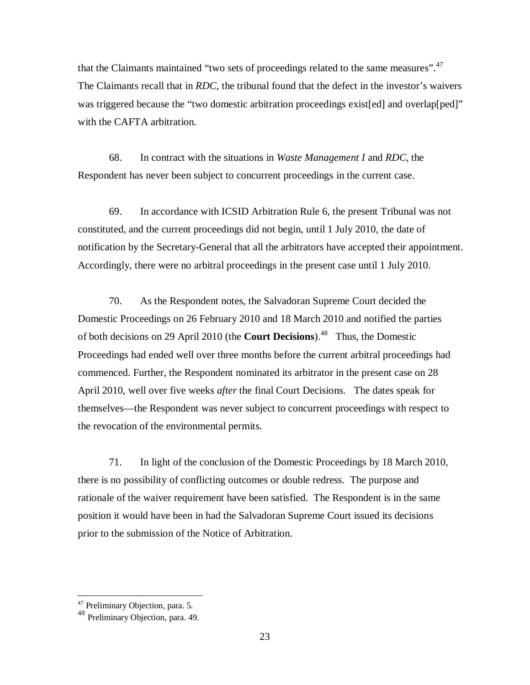that the Claimants maintained "two sets of proceedings related to the same measures".<sup>47</sup> The Claimants recall that in *RDC*, the tribunal found that the defect in the investor's waivers was triggered because the "two domestic arbitration proceedings exist[ed] and overlap[ped]" with the CAFTA arbitration.

68. In contract with the situations in *Waste Management I* and *RDC*, the Respondent has never been subject to concurrent proceedings in the current case.

69. In accordance with ICSID Arbitration Rule 6, the present Tribunal was not constituted, and the current proceedings did not begin, until 1 July 2010, the date of notification by the Secretary-General that all the arbitrators have accepted their appointment. Accordingly, there were no arbitral proceedings in the present case until 1 July 2010.

70. As the Respondent notes, the Salvadoran Supreme Court decided the Domestic Proceedings on 26 February 2010 and 18 March 2010 and notified the parties of both decisions on 29 April 2010 (the **Court Decisions**). 48 Thus, the Domestic Proceedings had ended well over three months before the current arbitral proceedings had commenced. Further, the Respondent nominated its arbitrator in the present case on 28 April 2010, well over five weeks *after* the final Court Decisions. The dates speak for themselves—the Respondent was never subject to concurrent proceedings with respect to the revocation of the environmental permits.

71. In light of the conclusion of the Domestic Proceedings by 18 March 2010, there is no possibility of conflicting outcomes or double redress. The purpose and rationale of the waiver requirement have been satisfied. The Respondent is in the same position it would have been in had the Salvadoran Supreme Court issued its decisions prior to the submission of the Notice of Arbitration.

<sup>&</sup>lt;sup>47</sup> Preliminary Objection, para. 5.

<sup>48</sup> Preliminary Objection, para. 49.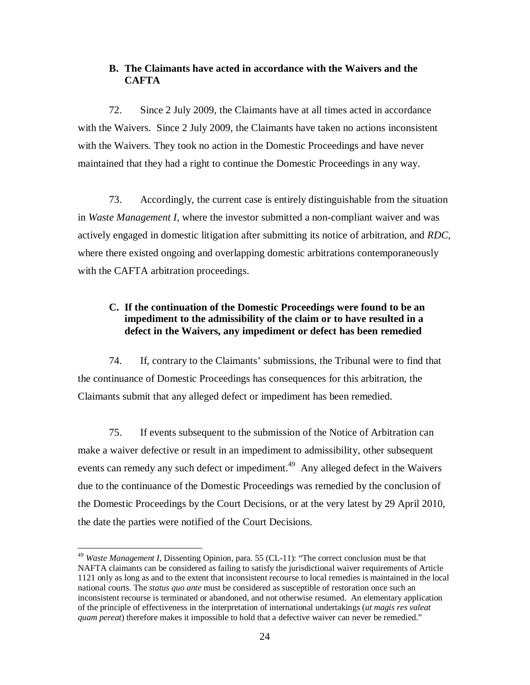## **B. The Claimants have acted in accordance with the Waivers and the CAFTA**

72. Since 2 July 2009, the Claimants have at all times acted in accordance with the Waivers. Since 2 July 2009, the Claimants have taken no actions inconsistent with the Waivers. They took no action in the Domestic Proceedings and have never maintained that they had a right to continue the Domestic Proceedings in any way.

73. Accordingly, the current case is entirely distinguishable from the situation in *Waste Management I*, where the investor submitted a non-compliant waiver and was actively engaged in domestic litigation after submitting its notice of arbitration, and *RDC*, where there existed ongoing and overlapping domestic arbitrations contemporaneously with the CAFTA arbitration proceedings.

# **C. If the continuation of the Domestic Proceedings were found to be an impediment to the admissibility of the claim or to have resulted in a defect in the Waivers, any impediment or defect has been remedied**

74. If, contrary to the Claimants' submissions, the Tribunal were to find that the continuance of Domestic Proceedings has consequences for this arbitration, the Claimants submit that any alleged defect or impediment has been remedied.

75. If events subsequent to the submission of the Notice of Arbitration can make a waiver defective or result in an impediment to admissibility, other subsequent events can remedy any such defect or impediment.<sup>49</sup> Any alleged defect in the Waivers due to the continuance of the Domestic Proceedings was remedied by the conclusion of the Domestic Proceedings by the Court Decisions, or at the very latest by 29 April 2010, the date the parties were notified of the Court Decisions.

<sup>49</sup> *Waste Management I,* Dissenting Opinion, para. 55 (CL-11): "The correct conclusion must be that NAFTA claimants can be considered as failing to satisfy the jurisdictional waiver requirements of Article 1121 only as long as and to the extent that inconsistent recourse to local remedies is maintained in the local national courts. The *status quo ante* must be considered as susceptible of restoration once such an inconsistent recourse is terminated or abandoned, and not otherwise resumed. An elementary application of the principle of effectiveness in the interpretation of international undertakings (*ut magis res valeat quam pereat*) therefore makes it impossible to hold that a defective waiver can never be remedied."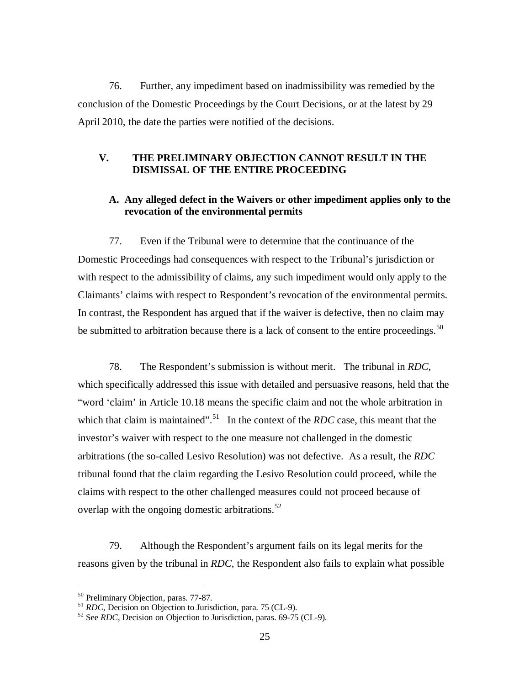76. Further, any impediment based on inadmissibility was remedied by the conclusion of the Domestic Proceedings by the Court Decisions, or at the latest by 29 April 2010, the date the parties were notified of the decisions.

### **V. THE PRELIMINARY OBJECTION CANNOT RESULT IN THE DISMISSAL OF THE ENTIRE PROCEEDING**

## **A. Any alleged defect in the Waivers or other impediment applies only to the revocation of the environmental permits**

77. Even if the Tribunal were to determine that the continuance of the Domestic Proceedings had consequences with respect to the Tribunal's jurisdiction or with respect to the admissibility of claims, any such impediment would only apply to the Claimants' claims with respect to Respondent's revocation of the environmental permits. In contrast, the Respondent has argued that if the waiver is defective, then no claim may be submitted to arbitration because there is a lack of consent to the entire proceedings.<sup>50</sup>

78. The Respondent's submission is without merit. The tribunal in *RDC*, which specifically addressed this issue with detailed and persuasive reasons, held that the "word 'claim' in Article 10.18 means the specific claim and not the whole arbitration in which that claim is maintained".<sup>51</sup> In the context of the *RDC* case, this meant that the investor's waiver with respect to the one measure not challenged in the domestic arbitrations (the so-called Lesivo Resolution) was not defective. As a result, the *RDC*  tribunal found that the claim regarding the Lesivo Resolution could proceed, while the claims with respect to the other challenged measures could not proceed because of overlap with the ongoing domestic arbitrations.<sup>52</sup>

79. Although the Respondent's argument fails on its legal merits for the reasons given by the tribunal in *RDC*, the Respondent also fails to explain what possible

<sup>&</sup>lt;sup>50</sup> Preliminary Objection, paras. 77-87.

<sup>51</sup> *RDC*, Decision on Objection to Jurisdiction, para. 75 (CL-9).

<sup>52</sup> See *RDC*, Decision on Objection to Jurisdiction, paras. 69-75 (CL-9).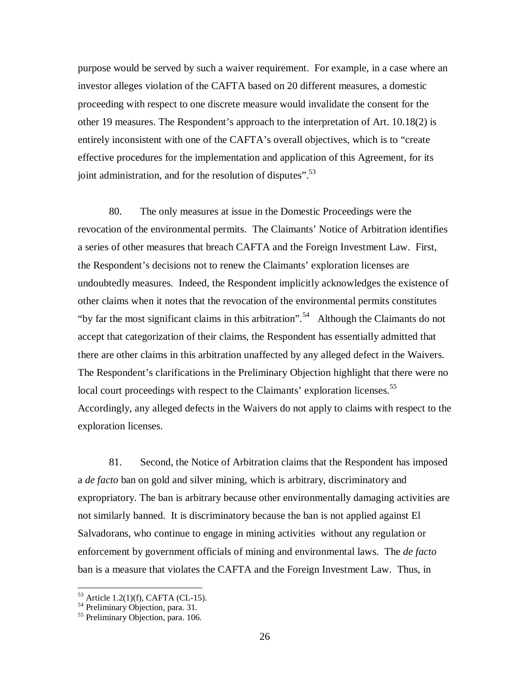purpose would be served by such a waiver requirement. For example, in a case where an investor alleges violation of the CAFTA based on 20 different measures, a domestic proceeding with respect to one discrete measure would invalidate the consent for the other 19 measures. The Respondent's approach to the interpretation of Art. 10.18(2) is entirely inconsistent with one of the CAFTA's overall objectives, which is to "create effective procedures for the implementation and application of this Agreement, for its joint administration, and for the resolution of disputes".<sup>53</sup>

80. The only measures at issue in the Domestic Proceedings were the revocation of the environmental permits. The Claimants' Notice of Arbitration identifies a series of other measures that breach CAFTA and the Foreign Investment Law. First, the Respondent's decisions not to renew the Claimants' exploration licenses are undoubtedly measures. Indeed, the Respondent implicitly acknowledges the existence of other claims when it notes that the revocation of the environmental permits constitutes "by far the most significant claims in this arbitration".<sup>54</sup> Although the Claimants do not accept that categorization of their claims, the Respondent has essentially admitted that there are other claims in this arbitration unaffected by any alleged defect in the Waivers. The Respondent's clarifications in the Preliminary Objection highlight that there were no local court proceedings with respect to the Claimants' exploration licenses.<sup>55</sup> Accordingly, any alleged defects in the Waivers do not apply to claims with respect to the exploration licenses.

81. Second, the Notice of Arbitration claims that the Respondent has imposed a *de facto* ban on gold and silver mining, which is arbitrary, discriminatory and expropriatory. The ban is arbitrary because other environmentally damaging activities are not similarly banned. It is discriminatory because the ban is not applied against El Salvadorans, who continue to engage in mining activities without any regulation or enforcement by government officials of mining and environmental laws. The *de facto* ban is a measure that violates the CAFTA and the Foreign Investment Law. Thus, in

 $53$  Article 1.2(1)(f), CAFTA (CL-15).

<sup>&</sup>lt;sup>54</sup> Preliminary Objection, para. 31.

<sup>&</sup>lt;sup>55</sup> Preliminary Objection, para. 106.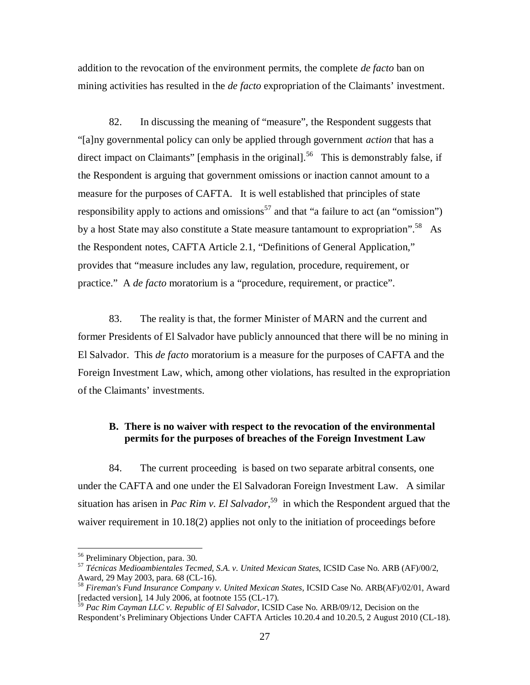addition to the revocation of the environment permits, the complete *de facto* ban on mining activities has resulted in the *de facto* expropriation of the Claimants' investment.

82. In discussing the meaning of "measure", the Respondent suggests that "[a]ny governmental policy can only be applied through government *action* that has a direct impact on Claimants" [emphasis in the original].<sup>56</sup> This is demonstrably false, if the Respondent is arguing that government omissions or inaction cannot amount to a measure for the purposes of CAFTA. It is well established that principles of state responsibility apply to actions and omissions<sup>57</sup> and that "a failure to act (an "omission") by a host State may also constitute a State measure tantamount to expropriation".<sup>58</sup> As the Respondent notes, CAFTA Article 2.1, "Definitions of General Application," provides that "measure includes any law, regulation, procedure, requirement, or practice." A *de facto* moratorium is a "procedure, requirement, or practice".

83. The reality is that, the former Minister of MARN and the current and former Presidents of El Salvador have publicly announced that there will be no mining in El Salvador. This *de facto* moratorium is a measure for the purposes of CAFTA and the Foreign Investment Law, which, among other violations, has resulted in the expropriation of the Claimants' investments.

### **B. There is no waiver with respect to the revocation of the environmental permits for the purposes of breaches of the Foreign Investment Law**

84. The current proceeding is based on two separate arbitral consents, one under the CAFTA and one under the El Salvadoran Foreign Investment Law. A similar situation has arisen in *Pac Rim v. El Salvador*, <sup>59</sup> in which the Respondent argued that the waiver requirement in 10.18(2) applies not only to the initiation of proceedings before

<sup>56</sup> Preliminary Objection, para. 30.

<sup>57</sup> *Técnicas Medioambientales Tecmed, S.A. v. United Mexican States*, ICSID Case No. ARB (AF)/00/2, Award, 29 May 2003, para. 68 (CL-16).

<sup>58</sup> *Fireman's Fund Insurance Company v. United Mexican States*, ICSID Case No. ARB(AF)/02/01, Award [redacted version], 14 July 2006, at footnote 155 (CL-17).

<sup>59</sup> *Pac Rim Cayman LLC v. Republic of El Salvador*, ICSID Case No. ARB/09/12, Decision on the Respondent's Preliminary Objections Under CAFTA Articles 10.20.4 and 10.20.5, 2 August 2010 (CL-18).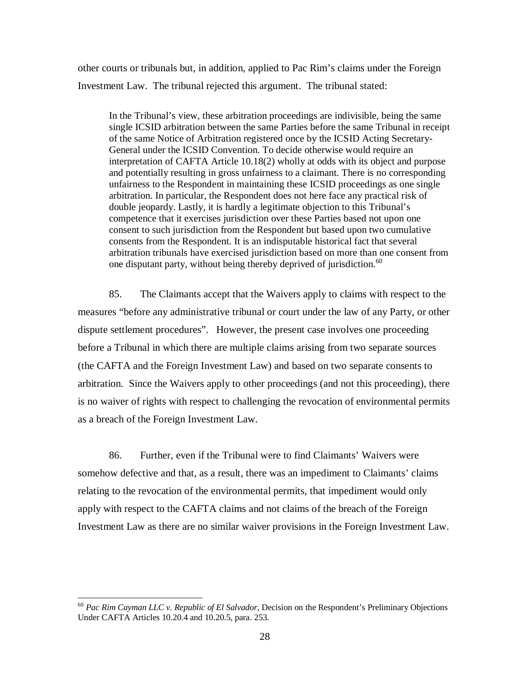other courts or tribunals but, in addition, applied to Pac Rim's claims under the Foreign Investment Law. The tribunal rejected this argument. The tribunal stated:

In the Tribunal's view, these arbitration proceedings are indivisible, being the same single ICSID arbitration between the same Parties before the same Tribunal in receipt of the same Notice of Arbitration registered once by the ICSID Acting Secretary-General under the ICSID Convention. To decide otherwise would require an interpretation of CAFTA Article 10.18(2) wholly at odds with its object and purpose and potentially resulting in gross unfairness to a claimant. There is no corresponding unfairness to the Respondent in maintaining these ICSID proceedings as one single arbitration. In particular, the Respondent does not here face any practical risk of double jeopardy. Lastly, it is hardly a legitimate objection to this Tribunal's competence that it exercises jurisdiction over these Parties based not upon one consent to such jurisdiction from the Respondent but based upon two cumulative consents from the Respondent. It is an indisputable historical fact that several arbitration tribunals have exercised jurisdiction based on more than one consent from one disputant party, without being thereby deprived of jurisdiction.<sup>60</sup>

85. The Claimants accept that the Waivers apply to claims with respect to the measures "before any administrative tribunal or court under the law of any Party, or other dispute settlement procedures". However, the present case involves one proceeding before a Tribunal in which there are multiple claims arising from two separate sources (the CAFTA and the Foreign Investment Law) and based on two separate consents to arbitration. Since the Waivers apply to other proceedings (and not this proceeding), there is no waiver of rights with respect to challenging the revocation of environmental permits as a breach of the Foreign Investment Law.

86. Further, even if the Tribunal were to find Claimants' Waivers were somehow defective and that, as a result, there was an impediment to Claimants' claims relating to the revocation of the environmental permits, that impediment would only apply with respect to the CAFTA claims and not claims of the breach of the Foreign Investment Law as there are no similar waiver provisions in the Foreign Investment Law.

<sup>60</sup> *Pac Rim Cayman LLC v. Republic of El Salvador*, Decision on the Respondent's Preliminary Objections Under CAFTA Articles 10.20.4 and 10.20.5, para. 253.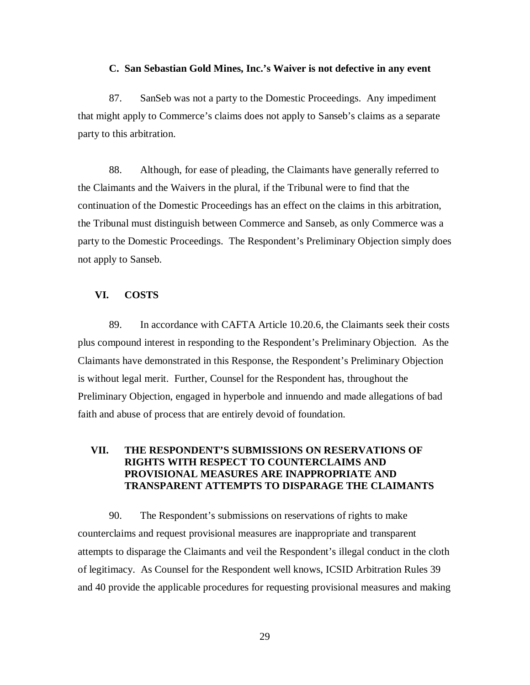#### **C. San Sebastian Gold Mines, Inc.'s Waiver is not defective in any event**

87. SanSeb was not a party to the Domestic Proceedings. Any impediment that might apply to Commerce's claims does not apply to Sanseb's claims as a separate party to this arbitration.

88. Although, for ease of pleading, the Claimants have generally referred to the Claimants and the Waivers in the plural, if the Tribunal were to find that the continuation of the Domestic Proceedings has an effect on the claims in this arbitration, the Tribunal must distinguish between Commerce and Sanseb, as only Commerce was a party to the Domestic Proceedings. The Respondent's Preliminary Objection simply does not apply to Sanseb.

#### **VI. COSTS**

89. In accordance with CAFTA Article 10.20.6, the Claimants seek their costs plus compound interest in responding to the Respondent's Preliminary Objection. As the Claimants have demonstrated in this Response, the Respondent's Preliminary Objection is without legal merit. Further, Counsel for the Respondent has, throughout the Preliminary Objection, engaged in hyperbole and innuendo and made allegations of bad faith and abuse of process that are entirely devoid of foundation.

### **VII. THE RESPONDENT'S SUBMISSIONS ON RESERVATIONS OF RIGHTS WITH RESPECT TO COUNTERCLAIMS AND PROVISIONAL MEASURES ARE INAPPROPRIATE AND TRANSPARENT ATTEMPTS TO DISPARAGE THE CLAIMANTS**

90. The Respondent's submissions on reservations of rights to make counterclaims and request provisional measures are inappropriate and transparent attempts to disparage the Claimants and veil the Respondent's illegal conduct in the cloth of legitimacy. As Counsel for the Respondent well knows, ICSID Arbitration Rules 39 and 40 provide the applicable procedures for requesting provisional measures and making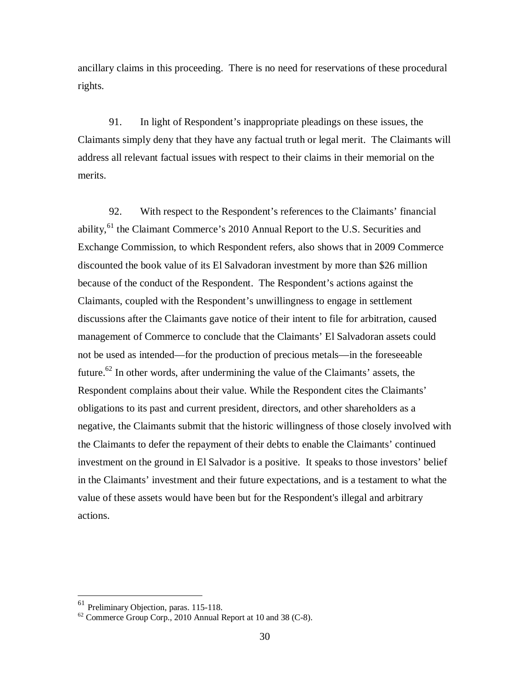ancillary claims in this proceeding. There is no need for reservations of these procedural rights.

91. In light of Respondent's inappropriate pleadings on these issues, the Claimants simply deny that they have any factual truth or legal merit. The Claimants will address all relevant factual issues with respect to their claims in their memorial on the merits.

92. With respect to the Respondent's references to the Claimants' financial ability,<sup>61</sup> the Claimant Commerce's 2010 Annual Report to the U.S. Securities and Exchange Commission, to which Respondent refers, also shows that in 2009 Commerce discounted the book value of its El Salvadoran investment by more than \$26 million because of the conduct of the Respondent. The Respondent's actions against the Claimants, coupled with the Respondent's unwillingness to engage in settlement discussions after the Claimants gave notice of their intent to file for arbitration, caused management of Commerce to conclude that the Claimants' El Salvadoran assets could not be used as intended—for the production of precious metals—in the foreseeable future.<sup>62</sup> In other words, after undermining the value of the Claimants' assets, the Respondent complains about their value. While the Respondent cites the Claimants' obligations to its past and current president, directors, and other shareholders as a negative, the Claimants submit that the historic willingness of those closely involved with the Claimants to defer the repayment of their debts to enable the Claimants' continued investment on the ground in El Salvador is a positive. It speaks to those investors' belief in the Claimants' investment and their future expectations, and is a testament to what the value of these assets would have been but for the Respondent's illegal and arbitrary actions.

<sup>&</sup>lt;sup>61</sup> Preliminary Objection, paras. 115-118.

 $62$  Commerce Group Corp., 2010 Annual Report at 10 and 38 (C-8).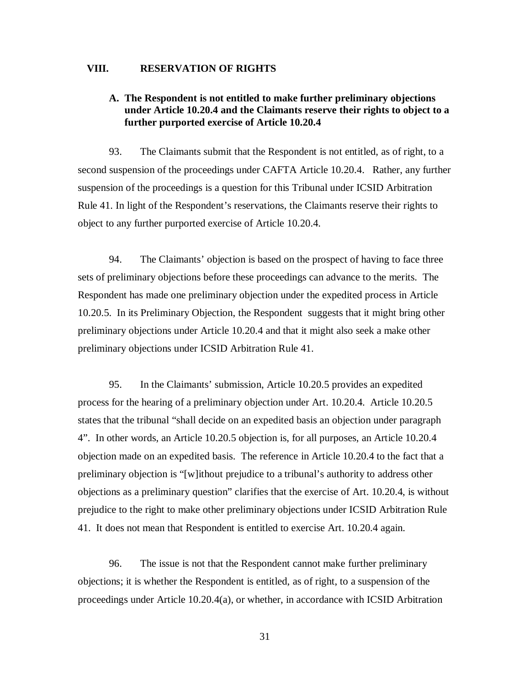#### **VIII. RESERVATION OF RIGHTS**

### **A. The Respondent is not entitled to make further preliminary objections under Article 10.20.4 and the Claimants reserve their rights to object to a further purported exercise of Article 10.20.4**

93. The Claimants submit that the Respondent is not entitled, as of right, to a second suspension of the proceedings under CAFTA Article 10.20.4. Rather, any further suspension of the proceedings is a question for this Tribunal under ICSID Arbitration Rule 41. In light of the Respondent's reservations, the Claimants reserve their rights to object to any further purported exercise of Article 10.20.4.

94. The Claimants' objection is based on the prospect of having to face three sets of preliminary objections before these proceedings can advance to the merits. The Respondent has made one preliminary objection under the expedited process in Article 10.20.5. In its Preliminary Objection, the Respondent suggests that it might bring other preliminary objections under Article 10.20.4 and that it might also seek a make other preliminary objections under ICSID Arbitration Rule 41.

95. In the Claimants' submission, Article 10.20.5 provides an expedited process for the hearing of a preliminary objection under Art. 10.20.4. Article 10.20.5 states that the tribunal "shall decide on an expedited basis an objection under paragraph 4". In other words, an Article 10.20.5 objection is, for all purposes, an Article 10.20.4 objection made on an expedited basis. The reference in Article 10.20.4 to the fact that a preliminary objection is "[w]ithout prejudice to a tribunal's authority to address other objections as a preliminary question" clarifies that the exercise of Art. 10.20.4, is without prejudice to the right to make other preliminary objections under ICSID Arbitration Rule 41. It does not mean that Respondent is entitled to exercise Art. 10.20.4 again.

96. The issue is not that the Respondent cannot make further preliminary objections; it is whether the Respondent is entitled, as of right, to a suspension of the proceedings under Article 10.20.4(a), or whether, in accordance with ICSID Arbitration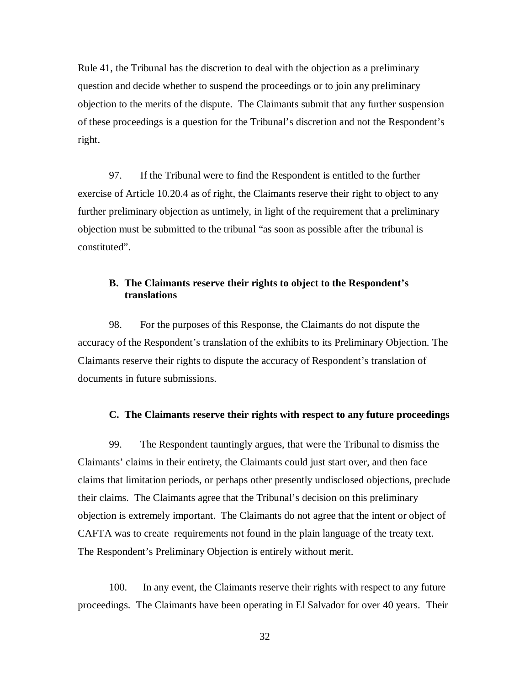Rule 41, the Tribunal has the discretion to deal with the objection as a preliminary question and decide whether to suspend the proceedings or to join any preliminary objection to the merits of the dispute. The Claimants submit that any further suspension of these proceedings is a question for the Tribunal's discretion and not the Respondent's right.

97. If the Tribunal were to find the Respondent is entitled to the further exercise of Article 10.20.4 as of right, the Claimants reserve their right to object to any further preliminary objection as untimely, in light of the requirement that a preliminary objection must be submitted to the tribunal "as soon as possible after the tribunal is constituted".

#### **B. The Claimants reserve their rights to object to the Respondent's translations**

98. For the purposes of this Response, the Claimants do not dispute the accuracy of the Respondent's translation of the exhibits to its Preliminary Objection. The Claimants reserve their rights to dispute the accuracy of Respondent's translation of documents in future submissions.

#### **C. The Claimants reserve their rights with respect to any future proceedings**

99. The Respondent tauntingly argues, that were the Tribunal to dismiss the Claimants' claims in their entirety, the Claimants could just start over, and then face claims that limitation periods, or perhaps other presently undisclosed objections, preclude their claims. The Claimants agree that the Tribunal's decision on this preliminary objection is extremely important. The Claimants do not agree that the intent or object of CAFTA was to create requirements not found in the plain language of the treaty text. The Respondent's Preliminary Objection is entirely without merit.

100. In any event, the Claimants reserve their rights with respect to any future proceedings. The Claimants have been operating in El Salvador for over 40 years. Their